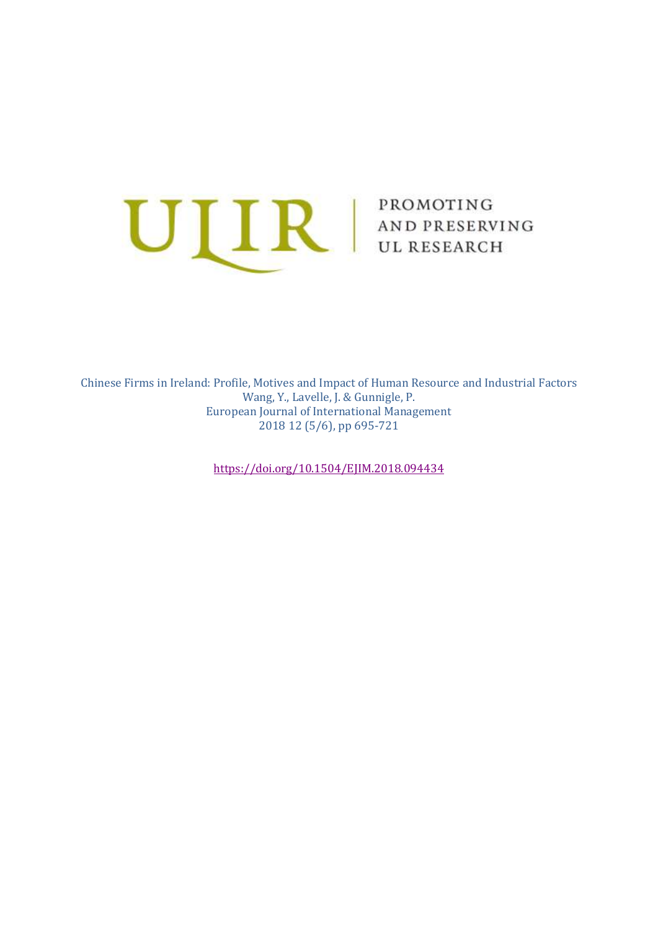

Chinese Firms in Ireland: Profile, Motives and Impact of Human Resource and Industrial Factors Wang, Y., Lavelle, J. & Gunnigle, P. European Journal of International Management 2018 12 (5/6), pp 695-721

<https://doi.org/10.1504/EJIM.2018.094434>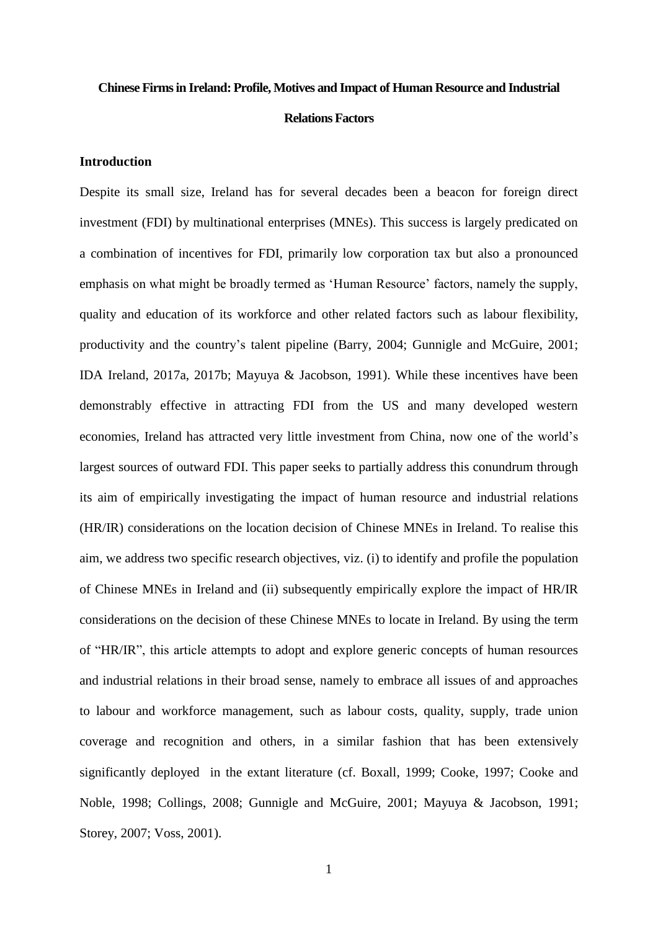# **Chinese Firms in Ireland: Profile, Motives and Impact of Human Resource and Industrial**

## **Relations Factors**

## **Introduction**

Despite its small size, Ireland has for several decades been a beacon for foreign direct investment (FDI) by multinational enterprises (MNEs). This success is largely predicated on a combination of incentives for FDI, primarily low corporation tax but also a pronounced emphasis on what might be broadly termed as 'Human Resource' factors, namely the supply, quality and education of its workforce and other related factors such as labour flexibility, productivity and the country's talent pipeline (Barry, 2004; Gunnigle and McGuire, 2001; IDA Ireland, 2017a, 2017b; Mayuya & Jacobson, 1991). While these incentives have been demonstrably effective in attracting FDI from the US and many developed western economies, Ireland has attracted very little investment from China, now one of the world's largest sources of outward FDI. This paper seeks to partially address this conundrum through its aim of empirically investigating the impact of human resource and industrial relations (HR/IR) considerations on the location decision of Chinese MNEs in Ireland. To realise this aim, we address two specific research objectives, viz. (i) to identify and profile the population of Chinese MNEs in Ireland and (ii) subsequently empirically explore the impact of HR/IR considerations on the decision of these Chinese MNEs to locate in Ireland. By using the term of "HR/IR", this article attempts to adopt and explore generic concepts of human resources and industrial relations in their broad sense, namely to embrace all issues of and approaches to labour and workforce management, such as labour costs, quality, supply, trade union coverage and recognition and others, in a similar fashion that has been extensively significantly deployed in the extant literature (cf. Boxall, 1999; Cooke, 1997; Cooke and Noble, 1998; Collings, 2008; Gunnigle and McGuire, 2001; Mayuya & Jacobson, 1991; Storey, 2007; Voss, 2001).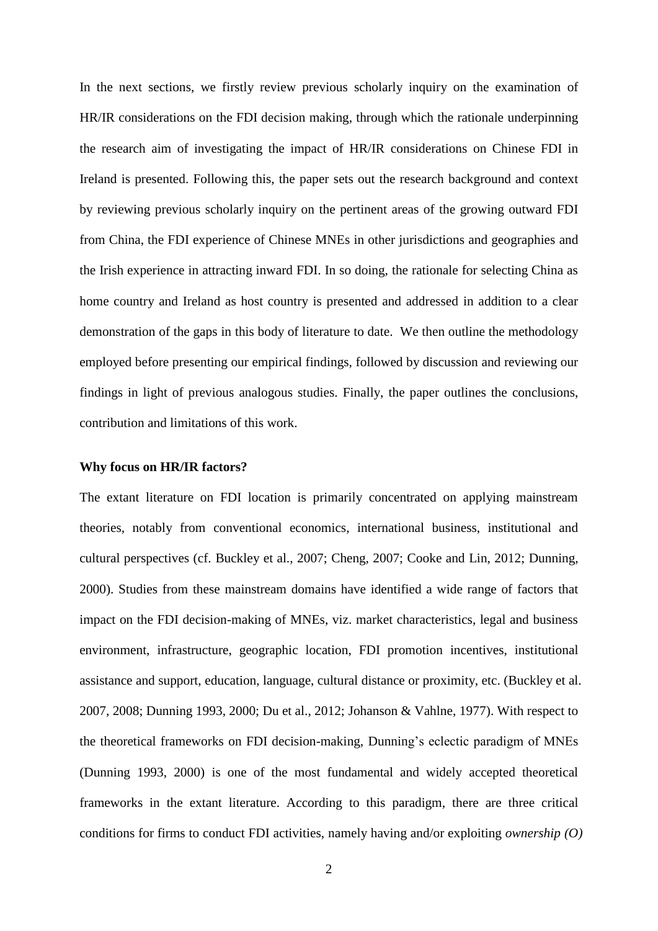In the next sections, we firstly review previous scholarly inquiry on the examination of HR/IR considerations on the FDI decision making, through which the rationale underpinning the research aim of investigating the impact of HR/IR considerations on Chinese FDI in Ireland is presented. Following this, the paper sets out the research background and context by reviewing previous scholarly inquiry on the pertinent areas of the growing outward FDI from China, the FDI experience of Chinese MNEs in other jurisdictions and geographies and the Irish experience in attracting inward FDI. In so doing, the rationale for selecting China as home country and Ireland as host country is presented and addressed in addition to a clear demonstration of the gaps in this body of literature to date. We then outline the methodology employed before presenting our empirical findings, followed by discussion and reviewing our findings in light of previous analogous studies. Finally, the paper outlines the conclusions, contribution and limitations of this work.

#### **Why focus on HR/IR factors?**

The extant literature on FDI location is primarily concentrated on applying mainstream theories, notably from conventional economics, international business, institutional and cultural perspectives (cf. Buckley et al., 2007; Cheng, 2007; Cooke and Lin, 2012; Dunning, 2000). Studies from these mainstream domains have identified a wide range of factors that impact on the FDI decision-making of MNEs, viz. market characteristics, legal and business environment, infrastructure, geographic location, FDI promotion incentives, institutional assistance and support, education, language, cultural distance or proximity, etc. (Buckley et al. 2007, 2008; Dunning 1993, 2000; Du et al., 2012; Johanson & Vahlne, 1977). With respect to the theoretical frameworks on FDI decision-making, Dunning's eclectic paradigm of MNEs (Dunning 1993, 2000) is one of the most fundamental and widely accepted theoretical frameworks in the extant literature. According to this paradigm, there are three critical conditions for firms to conduct FDI activities, namely having and/or exploiting *ownership (O)*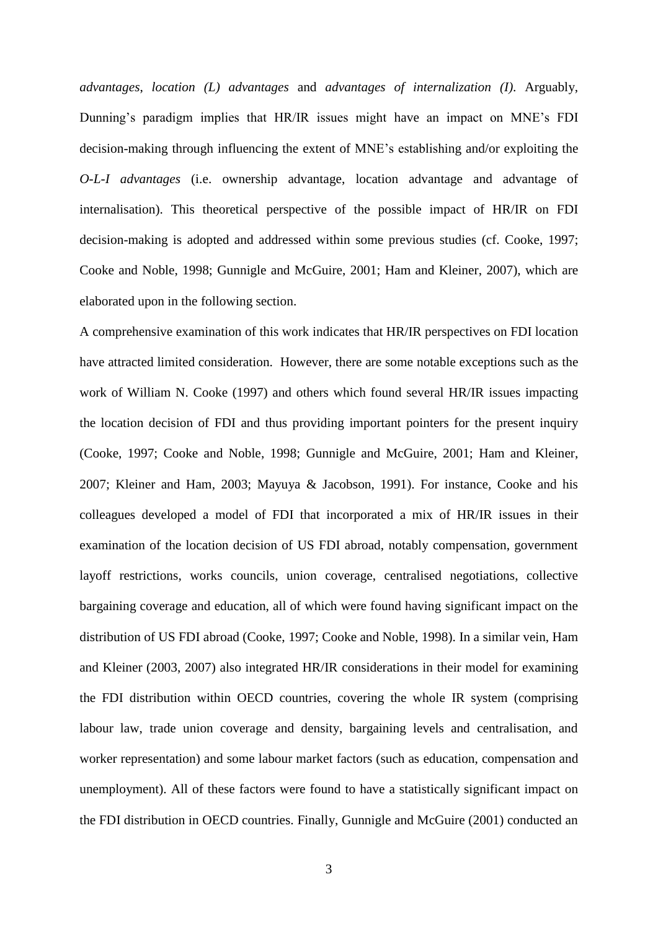*advantages*, *location (L) advantages* and *advantages of internalization (I)*. Arguably, Dunning's paradigm implies that HR/IR issues might have an impact on MNE's FDI decision-making through influencing the extent of MNE's establishing and/or exploiting the *O-L-I advantages* (i.e. ownership advantage, location advantage and advantage of internalisation). This theoretical perspective of the possible impact of HR/IR on FDI decision-making is adopted and addressed within some previous studies (cf. Cooke, 1997; Cooke and Noble, 1998; Gunnigle and McGuire, 2001; Ham and Kleiner, 2007), which are elaborated upon in the following section.

A comprehensive examination of this work indicates that HR/IR perspectives on FDI location have attracted limited consideration. However, there are some notable exceptions such as the work of William N. Cooke (1997) and others which found several HR/IR issues impacting the location decision of FDI and thus providing important pointers for the present inquiry (Cooke, 1997; Cooke and Noble, 1998; Gunnigle and McGuire, 2001; Ham and Kleiner, 2007; Kleiner and Ham, 2003; Mayuya & Jacobson, 1991). For instance, Cooke and his colleagues developed a model of FDI that incorporated a mix of HR/IR issues in their examination of the location decision of US FDI abroad, notably compensation, government layoff restrictions, works councils, union coverage, centralised negotiations, collective bargaining coverage and education, all of which were found having significant impact on the distribution of US FDI abroad (Cooke, 1997; Cooke and Noble, 1998). In a similar vein, Ham and Kleiner (2003, 2007) also integrated HR/IR considerations in their model for examining the FDI distribution within OECD countries, covering the whole IR system (comprising labour law, trade union coverage and density, bargaining levels and centralisation, and worker representation) and some labour market factors (such as education, compensation and unemployment). All of these factors were found to have a statistically significant impact on the FDI distribution in OECD countries. Finally, Gunnigle and McGuire (2001) conducted an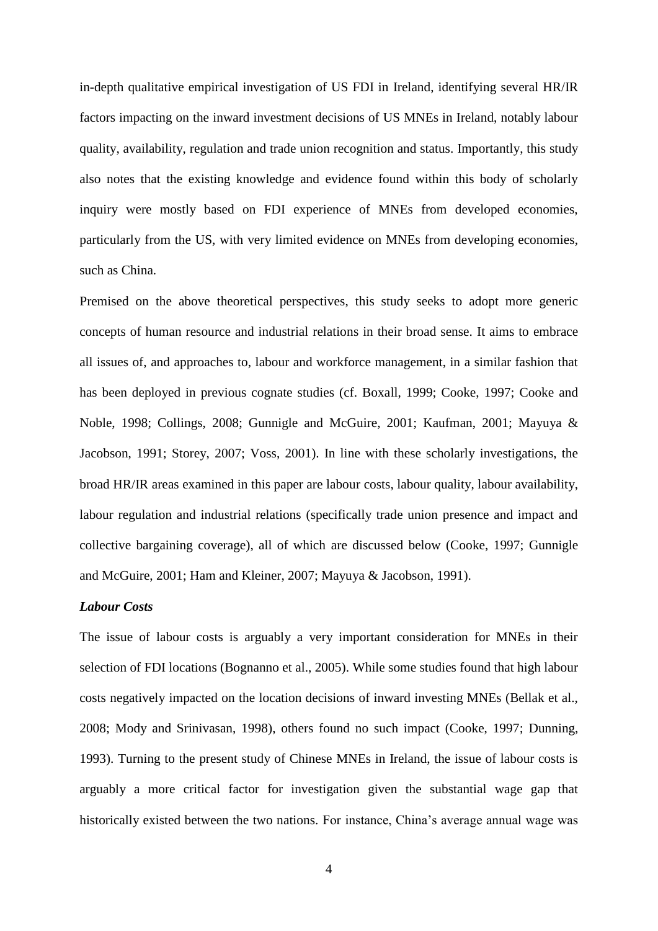in-depth qualitative empirical investigation of US FDI in Ireland, identifying several HR/IR factors impacting on the inward investment decisions of US MNEs in Ireland, notably labour quality, availability, regulation and trade union recognition and status. Importantly, this study also notes that the existing knowledge and evidence found within this body of scholarly inquiry were mostly based on FDI experience of MNEs from developed economies, particularly from the US, with very limited evidence on MNEs from developing economies, such as China.

Premised on the above theoretical perspectives, this study seeks to adopt more generic concepts of human resource and industrial relations in their broad sense. It aims to embrace all issues of, and approaches to, labour and workforce management, in a similar fashion that has been deployed in previous cognate studies (cf. Boxall, 1999; Cooke, 1997; Cooke and Noble, 1998; Collings, 2008; Gunnigle and McGuire, 2001; Kaufman, 2001; Mayuya & Jacobson, 1991; Storey, 2007; Voss, 2001). In line with these scholarly investigations, the broad HR/IR areas examined in this paper are labour costs, labour quality, labour availability, labour regulation and industrial relations (specifically trade union presence and impact and collective bargaining coverage), all of which are discussed below (Cooke, 1997; Gunnigle and McGuire, 2001; Ham and Kleiner, 2007; Mayuya & Jacobson, 1991).

## *Labour Costs*

The issue of labour costs is arguably a very important consideration for MNEs in their selection of FDI locations (Bognanno et al., 2005). While some studies found that high labour costs negatively impacted on the location decisions of inward investing MNEs (Bellak et al., 2008; Mody and Srinivasan, 1998), others found no such impact (Cooke, 1997; Dunning, 1993). Turning to the present study of Chinese MNEs in Ireland, the issue of labour costs is arguably a more critical factor for investigation given the substantial wage gap that historically existed between the two nations. For instance, China's average annual wage was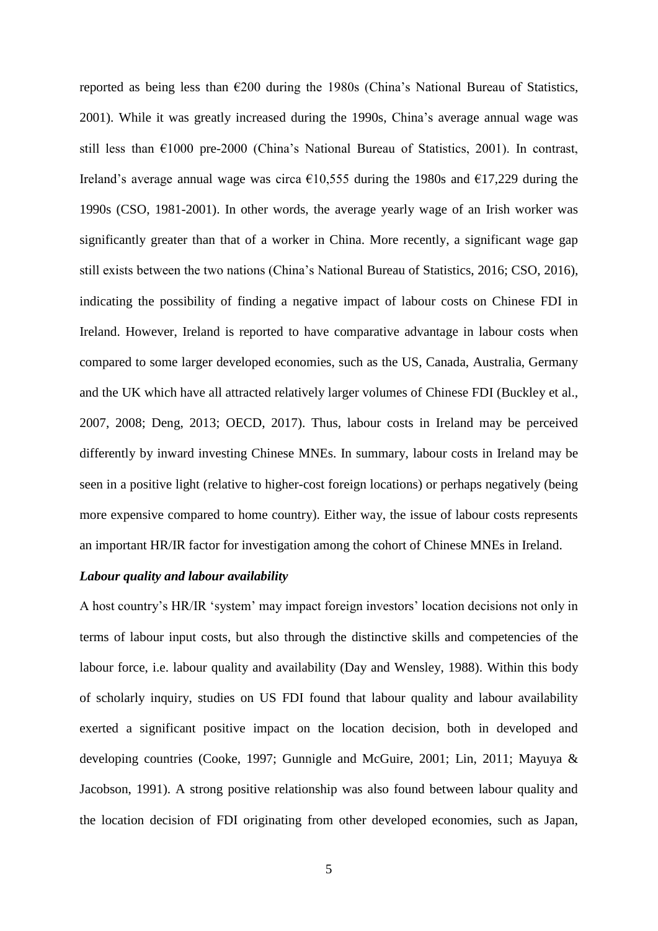reported as being less than  $\epsilon$ 200 during the 1980s (China's National Bureau of Statistics, 2001). While it was greatly increased during the 1990s, China's average annual wage was still less than €1000 pre-2000 (China's National Bureau of Statistics, 2001). In contrast, Ireland's average annual wage was circa  $\epsilon$ 10,555 during the 1980s and  $\epsilon$ 17,229 during the 1990s (CSO, 1981-2001). In other words, the average yearly wage of an Irish worker was significantly greater than that of a worker in China. More recently, a significant wage gap still exists between the two nations (China's National Bureau of Statistics, 2016; CSO, 2016), indicating the possibility of finding a negative impact of labour costs on Chinese FDI in Ireland. However, Ireland is reported to have comparative advantage in labour costs when compared to some larger developed economies, such as the US, Canada, Australia, Germany and the UK which have all attracted relatively larger volumes of Chinese FDI (Buckley et al., 2007, 2008; Deng, 2013; OECD, 2017). Thus, labour costs in Ireland may be perceived differently by inward investing Chinese MNEs. In summary, labour costs in Ireland may be seen in a positive light (relative to higher-cost foreign locations) or perhaps negatively (being more expensive compared to home country). Either way, the issue of labour costs represents an important HR/IR factor for investigation among the cohort of Chinese MNEs in Ireland.

## *Labour quality and labour availability*

A host country's HR/IR 'system' may impact foreign investors' location decisions not only in terms of labour input costs, but also through the distinctive skills and competencies of the labour force, i.e. labour quality and availability (Day and Wensley, 1988). Within this body of scholarly inquiry, studies on US FDI found that labour quality and labour availability exerted a significant positive impact on the location decision, both in developed and developing countries (Cooke, 1997; Gunnigle and McGuire, 2001; Lin, 2011; Mayuya & Jacobson, 1991). A strong positive relationship was also found between labour quality and the location decision of FDI originating from other developed economies, such as Japan,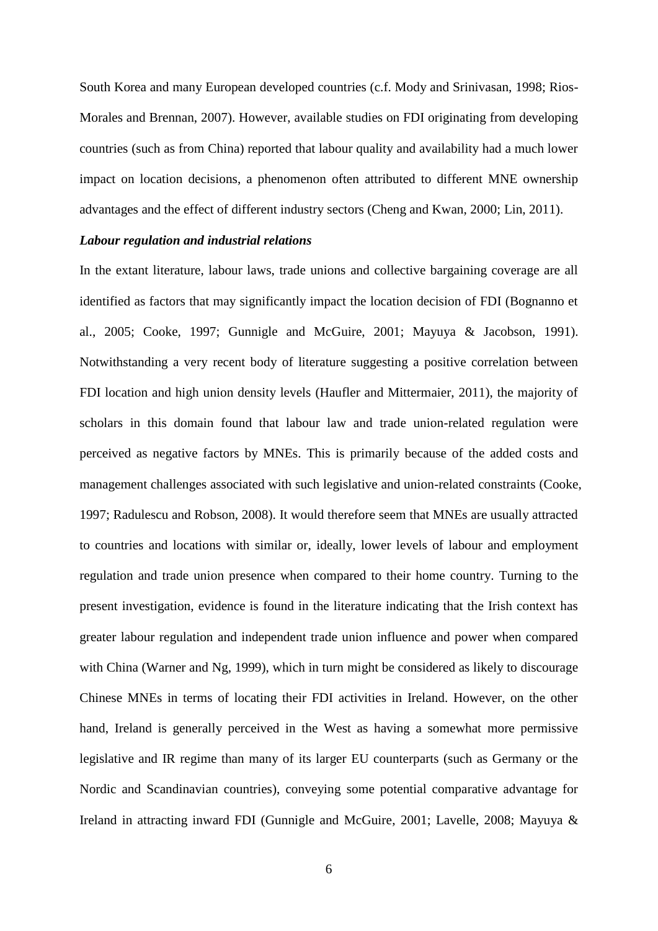South Korea and many European developed countries (c.f. Mody and Srinivasan, 1998; Rios-Morales and Brennan, 2007). However, available studies on FDI originating from developing countries (such as from China) reported that labour quality and availability had a much lower impact on location decisions, a phenomenon often attributed to different MNE ownership advantages and the effect of different industry sectors (Cheng and Kwan, 2000; Lin, 2011).

## *Labour regulation and industrial relations*

In the extant literature, labour laws, trade unions and collective bargaining coverage are all identified as factors that may significantly impact the location decision of FDI (Bognanno et al., 2005; Cooke, 1997; Gunnigle and McGuire, 2001; Mayuya & Jacobson, 1991). Notwithstanding a very recent body of literature suggesting a positive correlation between FDI location and high union density levels (Haufler and Mittermaier, 2011), the majority of scholars in this domain found that labour law and trade union-related regulation were perceived as negative factors by MNEs. This is primarily because of the added costs and management challenges associated with such legislative and union-related constraints (Cooke, 1997; Radulescu and Robson, 2008). It would therefore seem that MNEs are usually attracted to countries and locations with similar or, ideally, lower levels of labour and employment regulation and trade union presence when compared to their home country. Turning to the present investigation, evidence is found in the literature indicating that the Irish context has greater labour regulation and independent trade union influence and power when compared with China (Warner and Ng, 1999), which in turn might be considered as likely to discourage Chinese MNEs in terms of locating their FDI activities in Ireland. However, on the other hand, Ireland is generally perceived in the West as having a somewhat more permissive legislative and IR regime than many of its larger EU counterparts (such as Germany or the Nordic and Scandinavian countries), conveying some potential comparative advantage for Ireland in attracting inward FDI (Gunnigle and McGuire, 2001; Lavelle, 2008; Mayuya &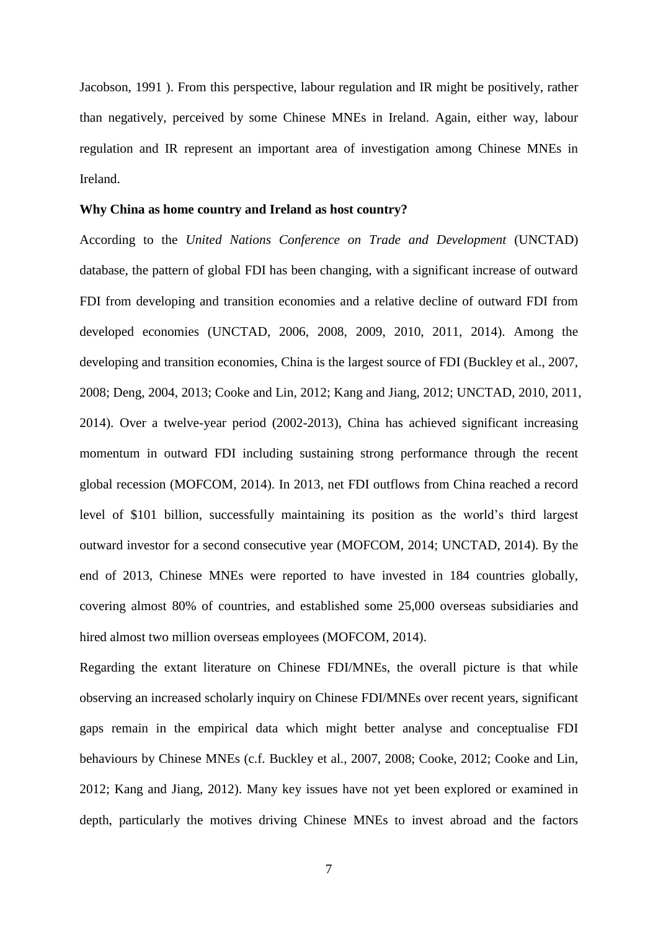Jacobson, 1991 ). From this perspective, labour regulation and IR might be positively, rather than negatively, perceived by some Chinese MNEs in Ireland. Again, either way, labour regulation and IR represent an important area of investigation among Chinese MNEs in Ireland.

### **Why China as home country and Ireland as host country?**

According to the *United Nations Conference on Trade and Development* (UNCTAD) database, the pattern of global FDI has been changing, with a significant increase of outward FDI from developing and transition economies and a relative decline of outward FDI from developed economies (UNCTAD, 2006, 2008, 2009, 2010, 2011, 2014). Among the developing and transition economies, China is the largest source of FDI (Buckley et al., 2007, 2008; Deng, 2004, 2013; Cooke and Lin, 2012; Kang and Jiang, 2012; UNCTAD, 2010, 2011, 2014). Over a twelve-year period (2002-2013), China has achieved significant increasing momentum in outward FDI including sustaining strong performance through the recent global recession (MOFCOM, 2014). In 2013, net FDI outflows from China reached a record level of \$101 billion, successfully maintaining its position as the world's third largest outward investor for a second consecutive year (MOFCOM, 2014; UNCTAD, 2014). By the end of 2013, Chinese MNEs were reported to have invested in 184 countries globally, covering almost 80% of countries, and established some 25,000 overseas subsidiaries and hired almost two million overseas employees (MOFCOM, 2014).

Regarding the extant literature on Chinese FDI/MNEs, the overall picture is that while observing an increased scholarly inquiry on Chinese FDI/MNEs over recent years, significant gaps remain in the empirical data which might better analyse and conceptualise FDI behaviours by Chinese MNEs (c.f. Buckley et al., 2007, 2008; Cooke, 2012; Cooke and Lin, 2012; Kang and Jiang, 2012). Many key issues have not yet been explored or examined in depth, particularly the motives driving Chinese MNEs to invest abroad and the factors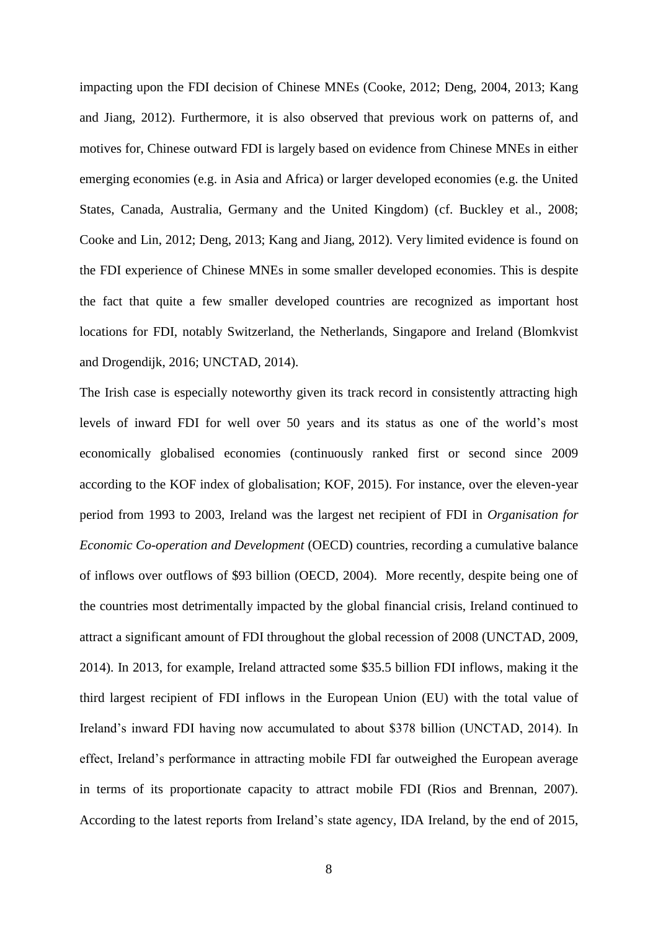impacting upon the FDI decision of Chinese MNEs (Cooke, 2012; Deng, 2004, 2013; Kang and Jiang, 2012). Furthermore, it is also observed that previous work on patterns of, and motives for, Chinese outward FDI is largely based on evidence from Chinese MNEs in either emerging economies (e.g. in Asia and Africa) or larger developed economies (e.g. the United States, Canada, Australia, Germany and the United Kingdom) (cf. Buckley et al., 2008; Cooke and Lin, 2012; Deng, 2013; Kang and Jiang, 2012). Very limited evidence is found on the FDI experience of Chinese MNEs in some smaller developed economies. This is despite the fact that quite a few smaller developed countries are recognized as important host locations for FDI, notably Switzerland, the Netherlands, Singapore and Ireland (Blomkvist and Drogendijk, 2016; UNCTAD, 2014).

The Irish case is especially noteworthy given its track record in consistently attracting high levels of inward FDI for well over 50 years and its status as one of the world's most economically globalised economies (continuously ranked first or second since 2009 according to the KOF index of globalisation; KOF, 2015). For instance, over the eleven-year period from 1993 to 2003, Ireland was the largest net recipient of FDI in *Organisation for Economic Co-operation and Development* (OECD) countries, recording a cumulative balance of inflows over outflows of \$93 billion (OECD, 2004). More recently, despite being one of the countries most detrimentally impacted by the global financial crisis, Ireland continued to attract a significant amount of FDI throughout the global recession of 2008 (UNCTAD, 2009, 2014). In 2013, for example, Ireland attracted some \$35.5 billion FDI inflows, making it the third largest recipient of FDI inflows in the European Union (EU) with the total value of Ireland's inward FDI having now accumulated to about \$378 billion (UNCTAD, 2014). In effect, Ireland's performance in attracting mobile FDI far outweighed the European average in terms of its proportionate capacity to attract mobile FDI (Rios and Brennan, 2007). According to the latest reports from Ireland's state agency, IDA Ireland, by the end of 2015,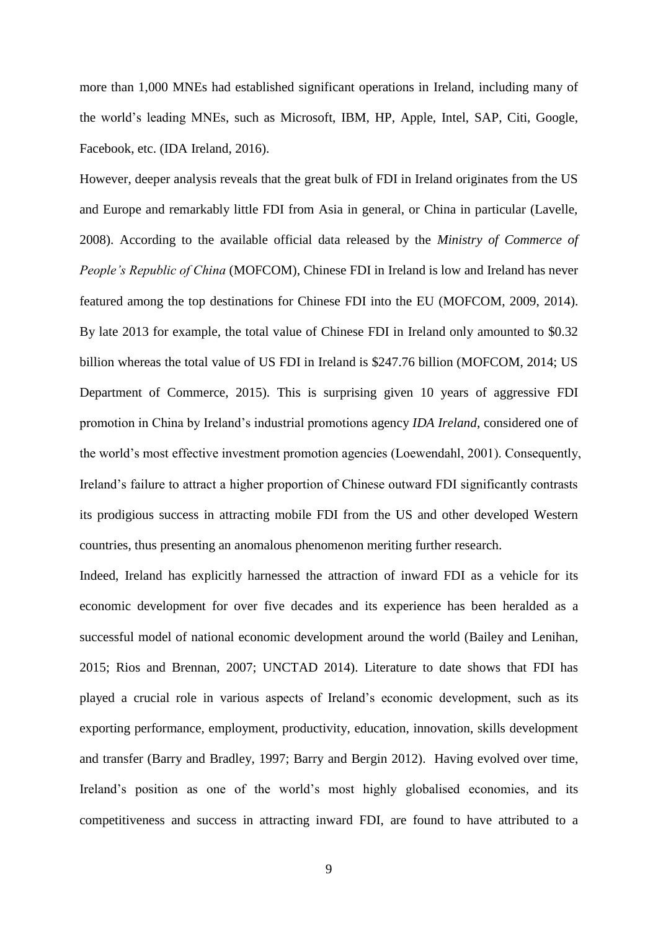more than 1,000 MNEs had established significant operations in Ireland, including many of the world's leading MNEs, such as Microsoft, IBM, HP, Apple, Intel, SAP, Citi, Google, Facebook, etc. (IDA Ireland, 2016).

However, deeper analysis reveals that the great bulk of FDI in Ireland originates from the US and Europe and remarkably little FDI from Asia in general, or China in particular (Lavelle, 2008). According to the available official data released by the *Ministry of Commerce of People's Republic of China* (MOFCOM), Chinese FDI in Ireland is low and Ireland has never featured among the top destinations for Chinese FDI into the EU (MOFCOM, 2009, 2014). By late 2013 for example, the total value of Chinese FDI in Ireland only amounted to \$0.32 billion whereas the total value of US FDI in Ireland is \$247.76 billion (MOFCOM, 2014; US Department of Commerce, 2015). This is surprising given 10 years of aggressive FDI promotion in China by Ireland's industrial promotions agency *IDA Ireland*, considered one of the world's most effective investment promotion agencies (Loewendahl, 2001). Consequently, Ireland's failure to attract a higher proportion of Chinese outward FDI significantly contrasts its prodigious success in attracting mobile FDI from the US and other developed Western countries, thus presenting an anomalous phenomenon meriting further research.

Indeed, Ireland has explicitly harnessed the attraction of inward FDI as a vehicle for its economic development for over five decades and its experience has been heralded as a successful model of national economic development around the world (Bailey and Lenihan, 2015; Rios and Brennan, 2007; UNCTAD 2014). Literature to date shows that FDI has played a crucial role in various aspects of Ireland's economic development, such as its exporting performance, employment, productivity, education, innovation, skills development and transfer (Barry and Bradley, 1997; Barry and Bergin 2012). Having evolved over time, Ireland's position as one of the world's most highly globalised economies, and its competitiveness and success in attracting inward FDI, are found to have attributed to a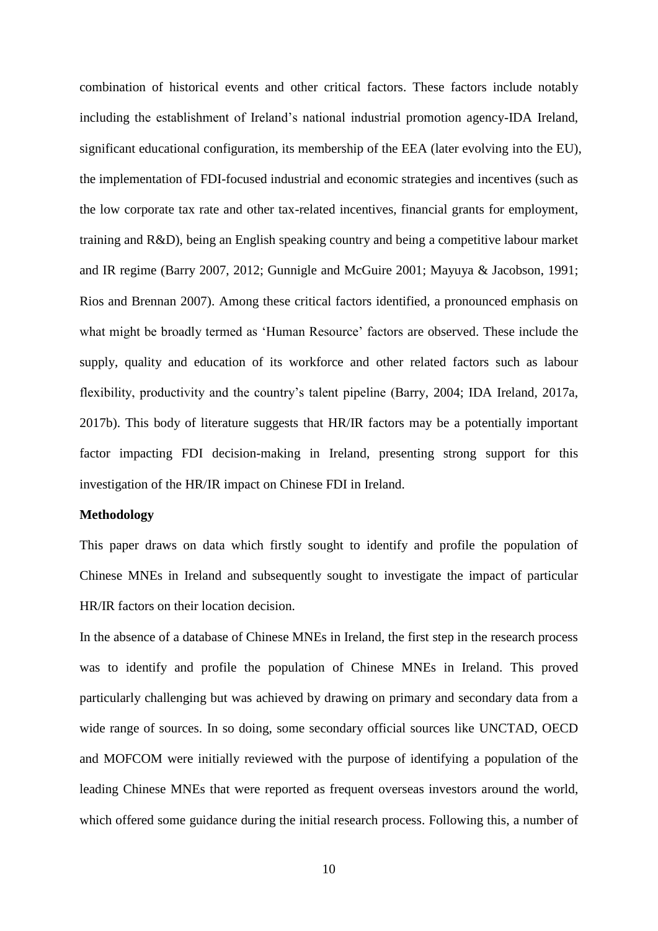combination of historical events and other critical factors. These factors include notably including the establishment of Ireland's national industrial promotion agency-IDA Ireland, significant educational configuration, its membership of the EEA (later evolving into the EU), the implementation of FDI-focused industrial and economic strategies and incentives (such as the low corporate tax rate and other tax-related incentives, financial grants for employment, training and R&D), being an English speaking country and being a competitive labour market and IR regime (Barry 2007, 2012; Gunnigle and McGuire 2001; Mayuya & Jacobson, 1991; Rios and Brennan 2007). Among these critical factors identified, a pronounced emphasis on what might be broadly termed as 'Human Resource' factors are observed. These include the supply, quality and education of its workforce and other related factors such as labour flexibility, productivity and the country's talent pipeline (Barry, 2004; IDA Ireland, 2017a, 2017b). This body of literature suggests that HR/IR factors may be a potentially important factor impacting FDI decision-making in Ireland, presenting strong support for this investigation of the HR/IR impact on Chinese FDI in Ireland.

## **Methodology**

This paper draws on data which firstly sought to identify and profile the population of Chinese MNEs in Ireland and subsequently sought to investigate the impact of particular HR/IR factors on their location decision.

In the absence of a database of Chinese MNEs in Ireland, the first step in the research process was to identify and profile the population of Chinese MNEs in Ireland. This proved particularly challenging but was achieved by drawing on primary and secondary data from a wide range of sources. In so doing, some secondary official sources like UNCTAD, OECD and MOFCOM were initially reviewed with the purpose of identifying a population of the leading Chinese MNEs that were reported as frequent overseas investors around the world, which offered some guidance during the initial research process. Following this, a number of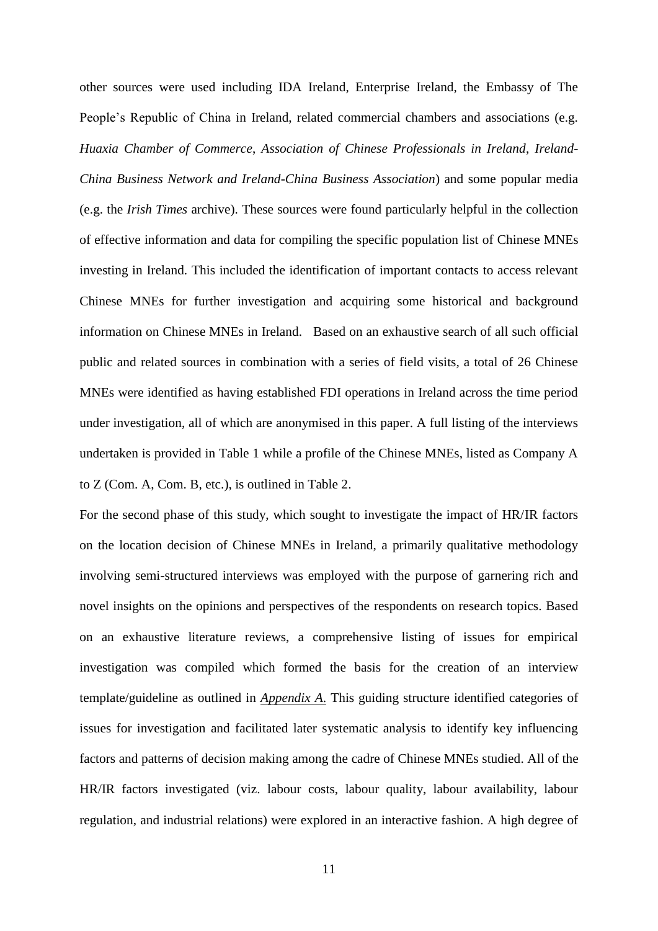other sources were used including IDA Ireland, Enterprise Ireland, the Embassy of The People's Republic of China in Ireland, related commercial chambers and associations (e.g. *Huaxia Chamber of Commerce*, *Association of Chinese Professionals in Ireland*, *Ireland-China Business Network and Ireland-China Business Association*) and some popular media (e.g. the *Irish Times* archive). These sources were found particularly helpful in the collection of effective information and data for compiling the specific population list of Chinese MNEs investing in Ireland. This included the identification of important contacts to access relevant Chinese MNEs for further investigation and acquiring some historical and background information on Chinese MNEs in Ireland. Based on an exhaustive search of all such official public and related sources in combination with a series of field visits, a total of 26 Chinese MNEs were identified as having established FDI operations in Ireland across the time period under investigation, all of which are anonymised in this paper. A full listing of the interviews undertaken is provided in Table 1 while a profile of the Chinese MNEs, listed as Company A to Z (Com. A, Com. B, etc.), is outlined in Table 2.

For the second phase of this study, which sought to investigate the impact of HR/IR factors on the location decision of Chinese MNEs in Ireland, a primarily qualitative methodology involving semi-structured interviews was employed with the purpose of garnering rich and novel insights on the opinions and perspectives of the respondents on research topics. Based on an exhaustive literature reviews, a comprehensive listing of issues for empirical investigation was compiled which formed the basis for the creation of an interview template/guideline as outlined in *Appendix A*. This guiding structure identified categories of issues for investigation and facilitated later systematic analysis to identify key influencing factors and patterns of decision making among the cadre of Chinese MNEs studied. All of the HR/IR factors investigated (viz. labour costs, labour quality, labour availability, labour regulation, and industrial relations) were explored in an interactive fashion. A high degree of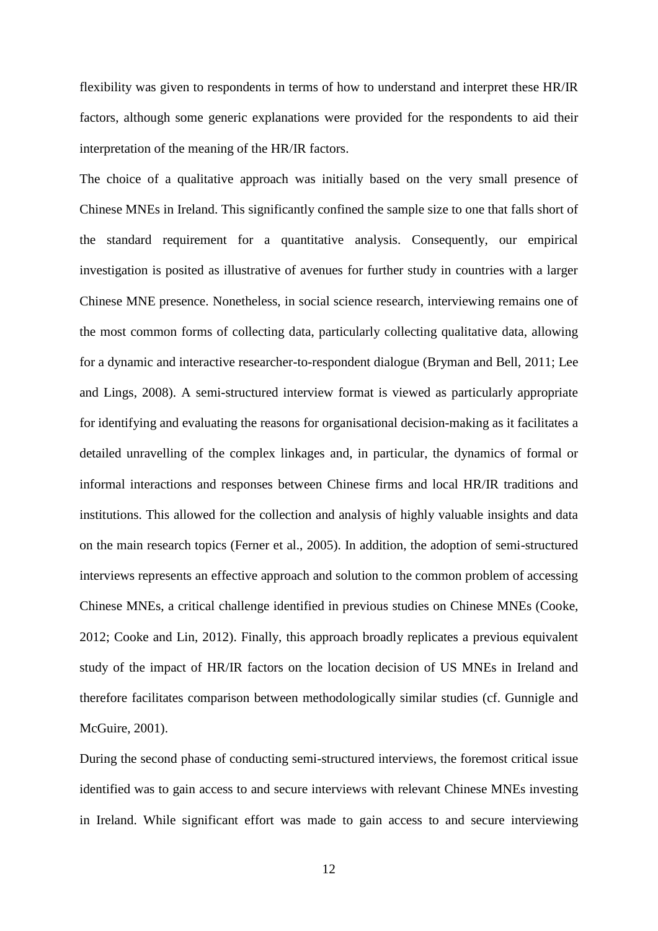flexibility was given to respondents in terms of how to understand and interpret these HR/IR factors, although some generic explanations were provided for the respondents to aid their interpretation of the meaning of the HR/IR factors.

The choice of a qualitative approach was initially based on the very small presence of Chinese MNEs in Ireland. This significantly confined the sample size to one that falls short of the standard requirement for a quantitative analysis. Consequently, our empirical investigation is posited as illustrative of avenues for further study in countries with a larger Chinese MNE presence. Nonetheless, in social science research, interviewing remains one of the most common forms of collecting data, particularly collecting qualitative data, allowing for a dynamic and interactive researcher-to-respondent dialogue (Bryman and Bell, 2011; Lee and Lings, 2008). A semi-structured interview format is viewed as particularly appropriate for identifying and evaluating the reasons for organisational decision-making as it facilitates a detailed unravelling of the complex linkages and, in particular, the dynamics of formal or informal interactions and responses between Chinese firms and local HR/IR traditions and institutions. This allowed for the collection and analysis of highly valuable insights and data on the main research topics (Ferner et al., 2005). In addition, the adoption of semi-structured interviews represents an effective approach and solution to the common problem of accessing Chinese MNEs, a critical challenge identified in previous studies on Chinese MNEs (Cooke, 2012; Cooke and Lin, 2012). Finally, this approach broadly replicates a previous equivalent study of the impact of HR/IR factors on the location decision of US MNEs in Ireland and therefore facilitates comparison between methodologically similar studies (cf. Gunnigle and McGuire, 2001).

During the second phase of conducting semi-structured interviews, the foremost critical issue identified was to gain access to and secure interviews with relevant Chinese MNEs investing in Ireland. While significant effort was made to gain access to and secure interviewing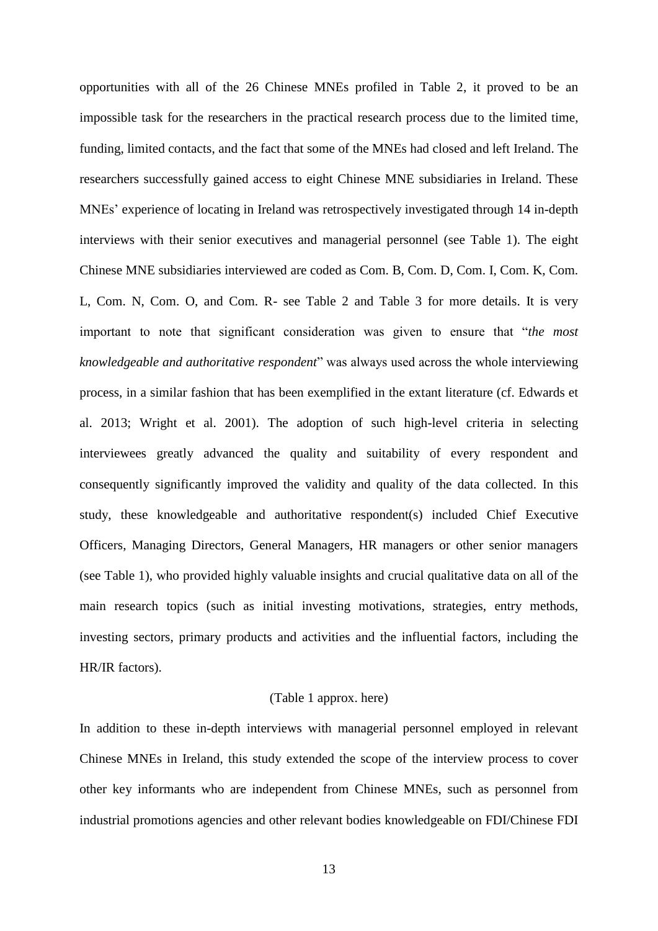opportunities with all of the 26 Chinese MNEs profiled in Table 2, it proved to be an impossible task for the researchers in the practical research process due to the limited time, funding, limited contacts, and the fact that some of the MNEs had closed and left Ireland. The researchers successfully gained access to eight Chinese MNE subsidiaries in Ireland. These MNEs' experience of locating in Ireland was retrospectively investigated through 14 in-depth interviews with their senior executives and managerial personnel (see Table 1). The eight Chinese MNE subsidiaries interviewed are coded as Com. B, Com. D, Com. I, Com. K, Com. L, Com. N, Com. O, and Com. R- see Table 2 and Table 3 for more details. It is very important to note that significant consideration was given to ensure that "*the most knowledgeable and authoritative respondent*" was always used across the whole interviewing process, in a similar fashion that has been exemplified in the extant literature (cf. Edwards et al. 2013; Wright et al. 2001). The adoption of such high-level criteria in selecting interviewees greatly advanced the quality and suitability of every respondent and consequently significantly improved the validity and quality of the data collected. In this study, these knowledgeable and authoritative respondent(s) included Chief Executive Officers, Managing Directors, General Managers, HR managers or other senior managers (see Table 1), who provided highly valuable insights and crucial qualitative data on all of the main research topics (such as initial investing motivations, strategies, entry methods, investing sectors, primary products and activities and the influential factors, including the HR/IR factors).

## (Table 1 approx. here)

In addition to these in-depth interviews with managerial personnel employed in relevant Chinese MNEs in Ireland, this study extended the scope of the interview process to cover other key informants who are independent from Chinese MNEs, such as personnel from industrial promotions agencies and other relevant bodies knowledgeable on FDI/Chinese FDI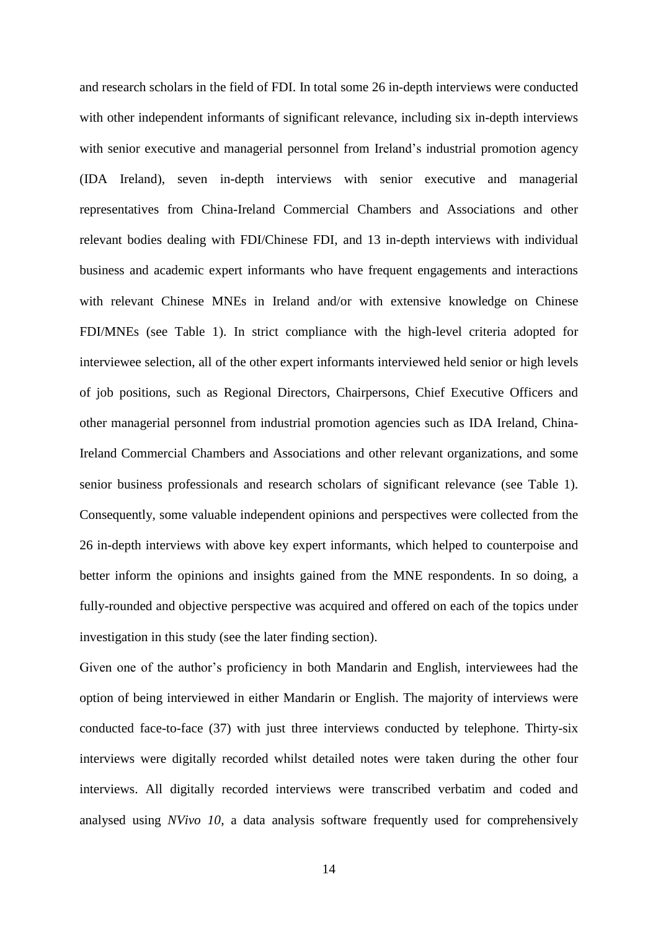and research scholars in the field of FDI. In total some 26 in-depth interviews were conducted with other independent informants of significant relevance, including six in-depth interviews with senior executive and managerial personnel from Ireland's industrial promotion agency (IDA Ireland), seven in-depth interviews with senior executive and managerial representatives from China-Ireland Commercial Chambers and Associations and other relevant bodies dealing with FDI/Chinese FDI, and 13 in-depth interviews with individual business and academic expert informants who have frequent engagements and interactions with relevant Chinese MNEs in Ireland and/or with extensive knowledge on Chinese FDI/MNEs (see Table 1). In strict compliance with the high-level criteria adopted for interviewee selection, all of the other expert informants interviewed held senior or high levels of job positions, such as Regional Directors, Chairpersons, Chief Executive Officers and other managerial personnel from industrial promotion agencies such as IDA Ireland, China-Ireland Commercial Chambers and Associations and other relevant organizations, and some senior business professionals and research scholars of significant relevance (see Table 1). Consequently, some valuable independent opinions and perspectives were collected from the 26 in-depth interviews with above key expert informants, which helped to counterpoise and better inform the opinions and insights gained from the MNE respondents. In so doing, a fully-rounded and objective perspective was acquired and offered on each of the topics under investigation in this study (see the later finding section).

Given one of the author's proficiency in both Mandarin and English, interviewees had the option of being interviewed in either Mandarin or English. The majority of interviews were conducted face-to-face (37) with just three interviews conducted by telephone. Thirty-six interviews were digitally recorded whilst detailed notes were taken during the other four interviews. All digitally recorded interviews were transcribed verbatim and coded and analysed using *NVivo 10*, a data analysis software frequently used for comprehensively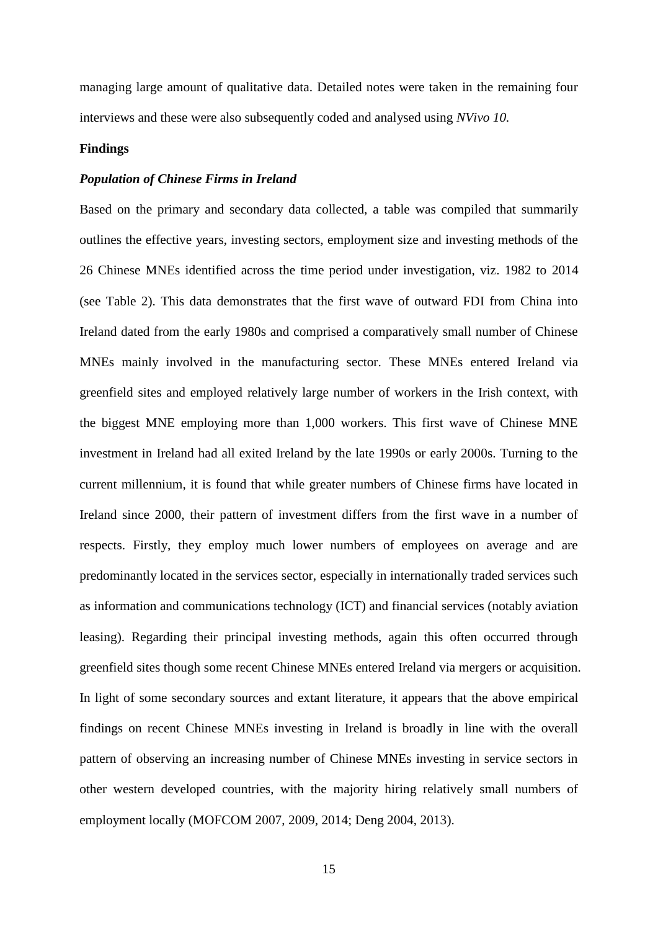managing large amount of qualitative data. Detailed notes were taken in the remaining four interviews and these were also subsequently coded and analysed using *NVivo 10.*

#### **Findings**

## *Population of Chinese Firms in Ireland*

Based on the primary and secondary data collected, a table was compiled that summarily outlines the effective years, investing sectors, employment size and investing methods of the 26 Chinese MNEs identified across the time period under investigation, viz. 1982 to 2014 (see Table 2). This data demonstrates that the first wave of outward FDI from China into Ireland dated from the early 1980s and comprised a comparatively small number of Chinese MNEs mainly involved in the manufacturing sector. These MNEs entered Ireland via greenfield sites and employed relatively large number of workers in the Irish context, with the biggest MNE employing more than 1,000 workers. This first wave of Chinese MNE investment in Ireland had all exited Ireland by the late 1990s or early 2000s. Turning to the current millennium, it is found that while greater numbers of Chinese firms have located in Ireland since 2000, their pattern of investment differs from the first wave in a number of respects. Firstly, they employ much lower numbers of employees on average and are predominantly located in the services sector, especially in internationally traded services such as information and communications technology (ICT) and financial services (notably aviation leasing). Regarding their principal investing methods, again this often occurred through greenfield sites though some recent Chinese MNEs entered Ireland via mergers or acquisition. In light of some secondary sources and extant literature, it appears that the above empirical findings on recent Chinese MNEs investing in Ireland is broadly in line with the overall pattern of observing an increasing number of Chinese MNEs investing in service sectors in other western developed countries, with the majority hiring relatively small numbers of employment locally (MOFCOM 2007, 2009, 2014; Deng 2004, 2013).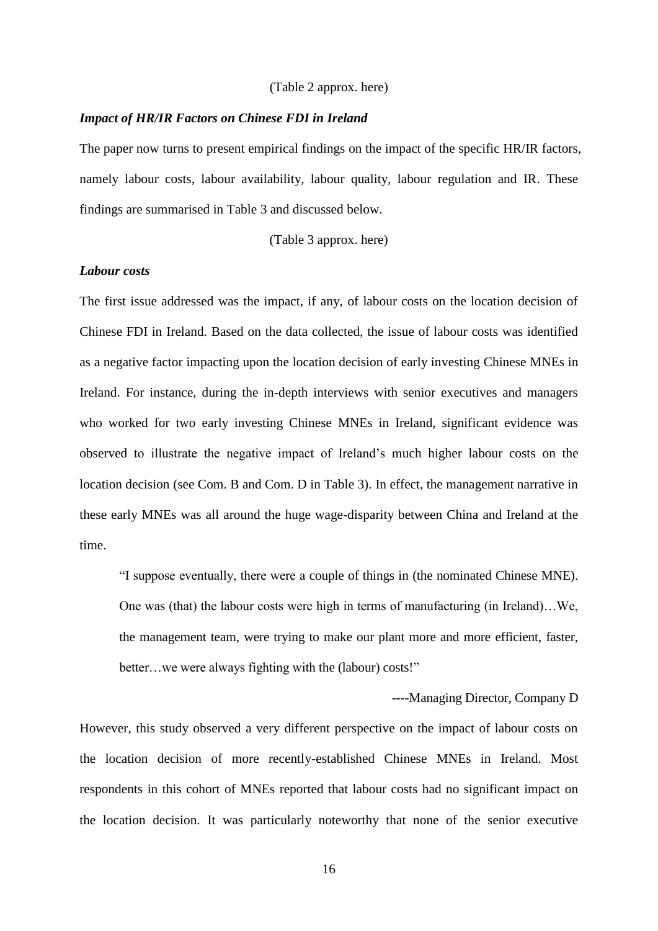#### (Table 2 approx. here)

#### *Impact of HR/IR Factors on Chinese FDI in Ireland*

The paper now turns to present empirical findings on the impact of the specific HR/IR factors, namely labour costs, labour availability, labour quality, labour regulation and IR. These findings are summarised in Table 3 and discussed below.

(Table 3 approx. here)

## *Labour costs*

The first issue addressed was the impact, if any, of labour costs on the location decision of Chinese FDI in Ireland. Based on the data collected, the issue of labour costs was identified as a negative factor impacting upon the location decision of early investing Chinese MNEs in Ireland. For instance, during the in-depth interviews with senior executives and managers who worked for two early investing Chinese MNEs in Ireland, significant evidence was observed to illustrate the negative impact of Ireland's much higher labour costs on the location decision (see Com. B and Com. D in Table 3). In effect, the management narrative in these early MNEs was all around the huge wage-disparity between China and Ireland at the time.

"I suppose eventually, there were a couple of things in (the nominated Chinese MNE). One was (that) the labour costs were high in terms of manufacturing (in Ireland)…We, the management team, were trying to make our plant more and more efficient, faster, better…we were always fighting with the (labour) costs!"

----Managing Director, Company D

However, this study observed a very different perspective on the impact of labour costs on the location decision of more recently-established Chinese MNEs in Ireland. Most respondents in this cohort of MNEs reported that labour costs had no significant impact on the location decision. It was particularly noteworthy that none of the senior executive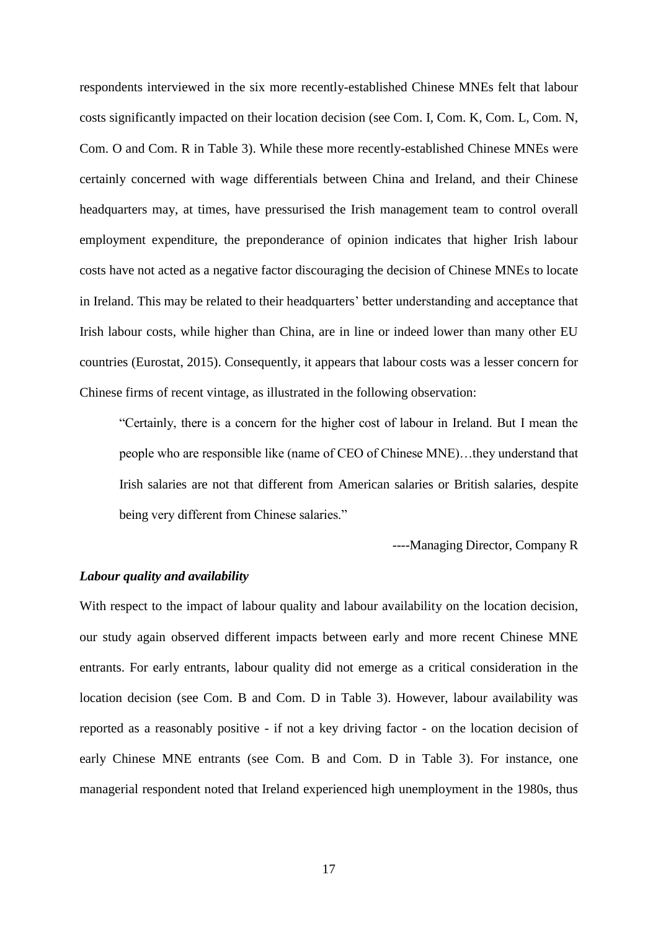respondents interviewed in the six more recently-established Chinese MNEs felt that labour costs significantly impacted on their location decision (see Com. I, Com. K, Com. L, Com. N, Com. O and Com. R in Table 3). While these more recently-established Chinese MNEs were certainly concerned with wage differentials between China and Ireland, and their Chinese headquarters may, at times, have pressurised the Irish management team to control overall employment expenditure, the preponderance of opinion indicates that higher Irish labour costs have not acted as a negative factor discouraging the decision of Chinese MNEs to locate in Ireland. This may be related to their headquarters' better understanding and acceptance that Irish labour costs, while higher than China, are in line or indeed lower than many other EU countries (Eurostat, 2015). Consequently, it appears that labour costs was a lesser concern for Chinese firms of recent vintage, as illustrated in the following observation:

"Certainly, there is a concern for the higher cost of labour in Ireland. But I mean the people who are responsible like (name of CEO of Chinese MNE)…they understand that Irish salaries are not that different from American salaries or British salaries, despite being very different from Chinese salaries."

----Managing Director, Company R

## *Labour quality and availability*

With respect to the impact of labour quality and labour availability on the location decision, our study again observed different impacts between early and more recent Chinese MNE entrants. For early entrants, labour quality did not emerge as a critical consideration in the location decision (see Com. B and Com. D in Table 3). However, labour availability was reported as a reasonably positive - if not a key driving factor - on the location decision of early Chinese MNE entrants (see Com. B and Com. D in Table 3). For instance, one managerial respondent noted that Ireland experienced high unemployment in the 1980s, thus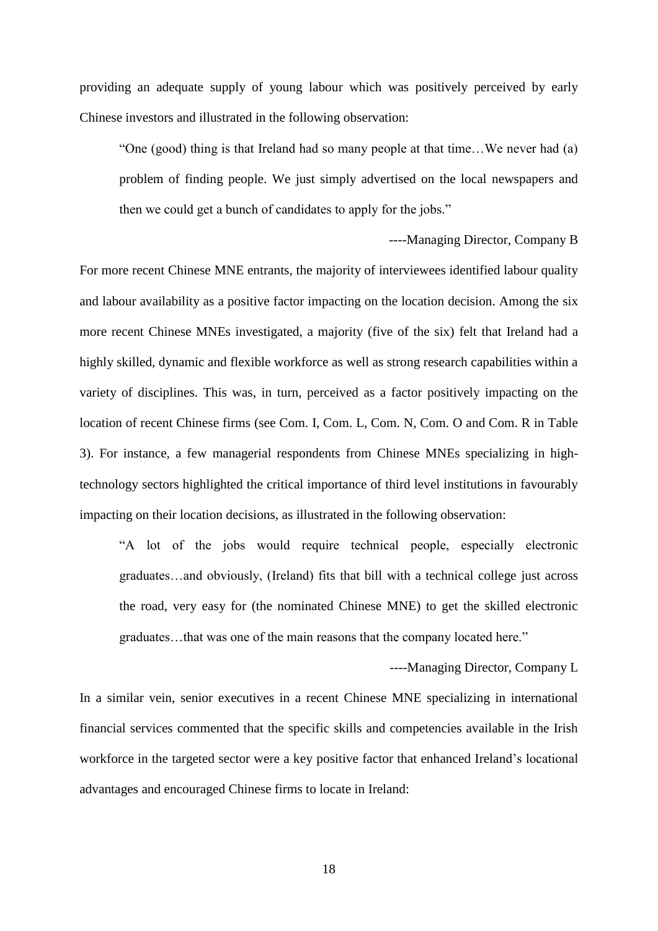providing an adequate supply of young labour which was positively perceived by early Chinese investors and illustrated in the following observation:

"One (good) thing is that Ireland had so many people at that time…We never had (a) problem of finding people. We just simply advertised on the local newspapers and then we could get a bunch of candidates to apply for the jobs."

----Managing Director, Company B

For more recent Chinese MNE entrants, the majority of interviewees identified labour quality and labour availability as a positive factor impacting on the location decision. Among the six more recent Chinese MNEs investigated, a majority (five of the six) felt that Ireland had a highly skilled, dynamic and flexible workforce as well as strong research capabilities within a variety of disciplines. This was, in turn, perceived as a factor positively impacting on the location of recent Chinese firms (see Com. I, Com. L, Com. N, Com. O and Com. R in Table 3). For instance, a few managerial respondents from Chinese MNEs specializing in hightechnology sectors highlighted the critical importance of third level institutions in favourably impacting on their location decisions, as illustrated in the following observation:

"A lot of the jobs would require technical people, especially electronic graduates…and obviously, (Ireland) fits that bill with a technical college just across the road, very easy for (the nominated Chinese MNE) to get the skilled electronic graduates…that was one of the main reasons that the company located here."

----Managing Director, Company L

In a similar vein, senior executives in a recent Chinese MNE specializing in international financial services commented that the specific skills and competencies available in the Irish workforce in the targeted sector were a key positive factor that enhanced Ireland's locational advantages and encouraged Chinese firms to locate in Ireland:

18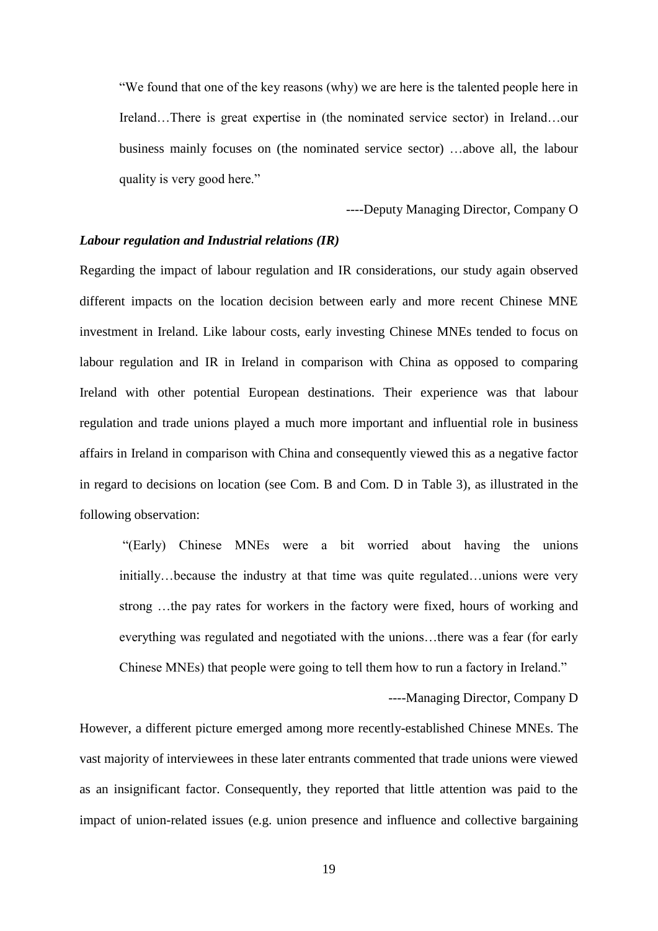"We found that one of the key reasons (why) we are here is the talented people here in Ireland…There is great expertise in (the nominated service sector) in Ireland…our business mainly focuses on (the nominated service sector) …above all, the labour quality is very good here."

----Deputy Managing Director, Company O

## *Labour regulation and Industrial relations (IR)*

Regarding the impact of labour regulation and IR considerations, our study again observed different impacts on the location decision between early and more recent Chinese MNE investment in Ireland. Like labour costs, early investing Chinese MNEs tended to focus on labour regulation and IR in Ireland in comparison with China as opposed to comparing Ireland with other potential European destinations. Their experience was that labour regulation and trade unions played a much more important and influential role in business affairs in Ireland in comparison with China and consequently viewed this as a negative factor in regard to decisions on location (see Com. B and Com. D in Table 3), as illustrated in the following observation:

"(Early) Chinese MNEs were a bit worried about having the unions initially…because the industry at that time was quite regulated…unions were very strong …the pay rates for workers in the factory were fixed, hours of working and everything was regulated and negotiated with the unions…there was a fear (for early Chinese MNEs) that people were going to tell them how to run a factory in Ireland."

----Managing Director, Company D

However, a different picture emerged among more recently-established Chinese MNEs. The vast majority of interviewees in these later entrants commented that trade unions were viewed as an insignificant factor. Consequently, they reported that little attention was paid to the impact of union-related issues (e.g. union presence and influence and collective bargaining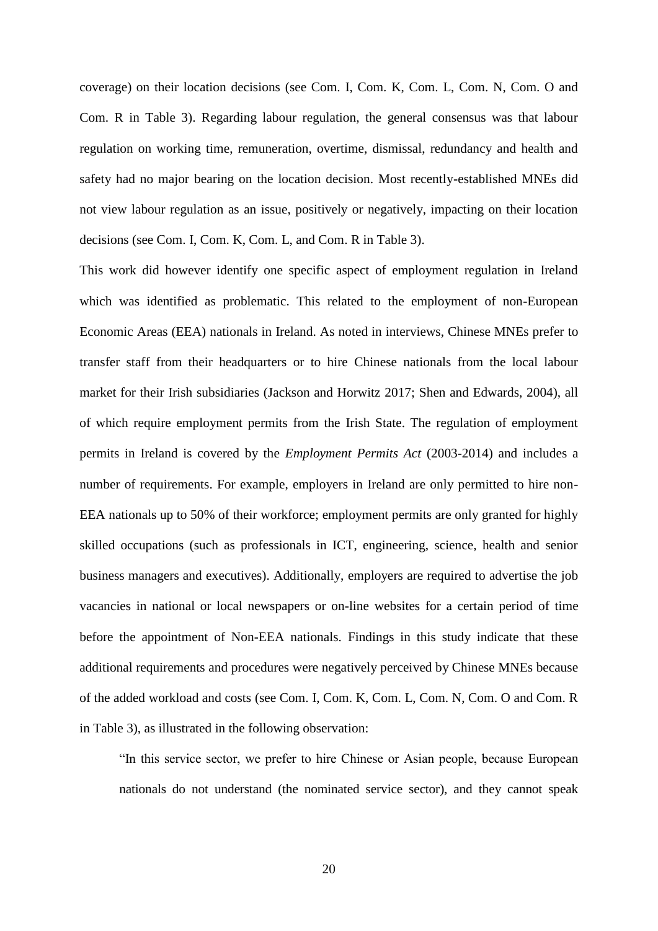coverage) on their location decisions (see Com. I, Com. K, Com. L, Com. N, Com. O and Com. R in Table 3). Regarding labour regulation, the general consensus was that labour regulation on working time, remuneration, overtime, dismissal, redundancy and health and safety had no major bearing on the location decision. Most recently-established MNEs did not view labour regulation as an issue, positively or negatively, impacting on their location decisions (see Com. I, Com. K, Com. L, and Com. R in Table 3).

This work did however identify one specific aspect of employment regulation in Ireland which was identified as problematic. This related to the employment of non-European Economic Areas (EEA) nationals in Ireland. As noted in interviews, Chinese MNEs prefer to transfer staff from their headquarters or to hire Chinese nationals from the local labour market for their Irish subsidiaries (Jackson and Horwitz 2017; Shen and Edwards, 2004), all of which require employment permits from the Irish State. The regulation of employment permits in Ireland is covered by the *Employment Permits Act* (2003-2014) and includes a number of requirements. For example, employers in Ireland are only permitted to hire non-EEA nationals up to 50% of their workforce; employment permits are only granted for highly skilled occupations (such as professionals in ICT, engineering, science, health and senior business managers and executives). Additionally, employers are required to advertise the job vacancies in national or local newspapers or on-line websites for a certain period of time before the appointment of Non-EEA nationals. Findings in this study indicate that these additional requirements and procedures were negatively perceived by Chinese MNEs because of the added workload and costs (see Com. I, Com. K, Com. L, Com. N, Com. O and Com. R in Table 3), as illustrated in the following observation:

"In this service sector, we prefer to hire Chinese or Asian people, because European nationals do not understand (the nominated service sector), and they cannot speak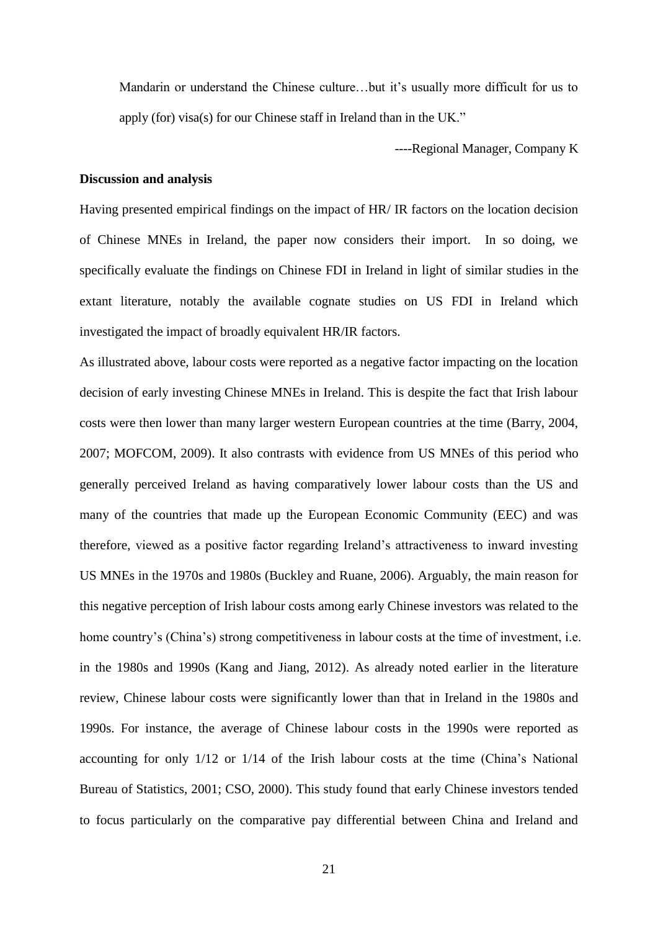Mandarin or understand the Chinese culture…but it's usually more difficult for us to apply (for) visa(s) for our Chinese staff in Ireland than in the UK."

----Regional Manager, Company K

#### **Discussion and analysis**

Having presented empirical findings on the impact of HR/ IR factors on the location decision of Chinese MNEs in Ireland, the paper now considers their import. In so doing, we specifically evaluate the findings on Chinese FDI in Ireland in light of similar studies in the extant literature, notably the available cognate studies on US FDI in Ireland which investigated the impact of broadly equivalent HR/IR factors.

As illustrated above, labour costs were reported as a negative factor impacting on the location decision of early investing Chinese MNEs in Ireland. This is despite the fact that Irish labour costs were then lower than many larger western European countries at the time (Barry, 2004, 2007; MOFCOM, 2009). It also contrasts with evidence from US MNEs of this period who generally perceived Ireland as having comparatively lower labour costs than the US and many of the countries that made up the European Economic Community (EEC) and was therefore, viewed as a positive factor regarding Ireland's attractiveness to inward investing US MNEs in the 1970s and 1980s (Buckley and Ruane, 2006). Arguably, the main reason for this negative perception of Irish labour costs among early Chinese investors was related to the home country's (China's) strong competitiveness in labour costs at the time of investment, i.e. in the 1980s and 1990s (Kang and Jiang, 2012). As already noted earlier in the literature review, Chinese labour costs were significantly lower than that in Ireland in the 1980s and 1990s. For instance, the average of Chinese labour costs in the 1990s were reported as accounting for only 1/12 or 1/14 of the Irish labour costs at the time (China's National Bureau of Statistics, 2001; CSO, 2000). This study found that early Chinese investors tended to focus particularly on the comparative pay differential between China and Ireland and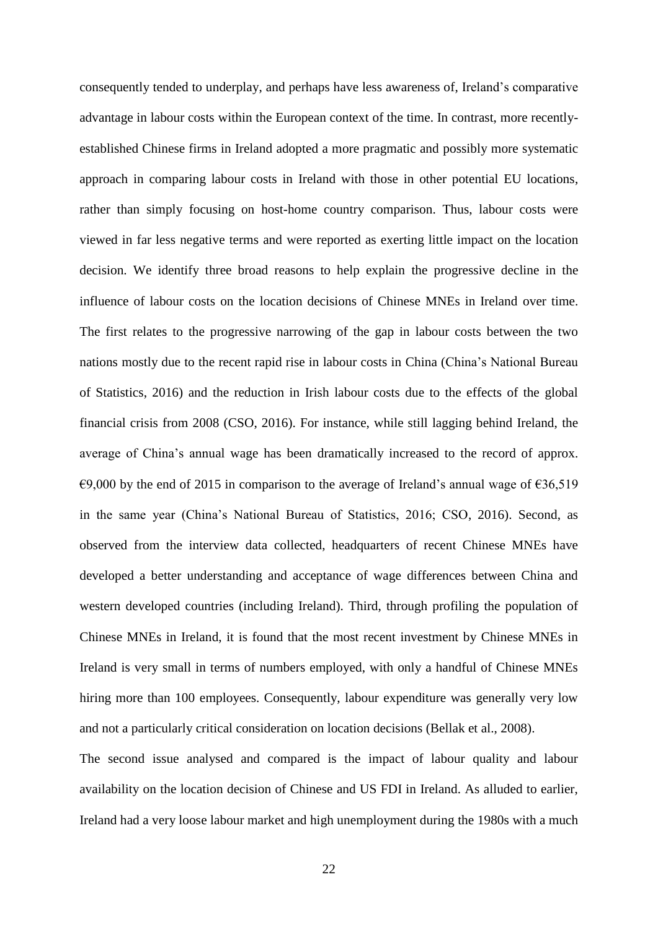consequently tended to underplay, and perhaps have less awareness of, Ireland's comparative advantage in labour costs within the European context of the time. In contrast, more recentlyestablished Chinese firms in Ireland adopted a more pragmatic and possibly more systematic approach in comparing labour costs in Ireland with those in other potential EU locations, rather than simply focusing on host-home country comparison. Thus, labour costs were viewed in far less negative terms and were reported as exerting little impact on the location decision. We identify three broad reasons to help explain the progressive decline in the influence of labour costs on the location decisions of Chinese MNEs in Ireland over time. The first relates to the progressive narrowing of the gap in labour costs between the two nations mostly due to the recent rapid rise in labour costs in China (China's National Bureau of Statistics, 2016) and the reduction in Irish labour costs due to the effects of the global financial crisis from 2008 (CSO, 2016). For instance, while still lagging behind Ireland, the average of China's annual wage has been dramatically increased to the record of approx.  $\epsilon$ 9,000 by the end of 2015 in comparison to the average of Ireland's annual wage of  $\epsilon$ 36,519 in the same year (China's National Bureau of Statistics, 2016; CSO, 2016). Second, as observed from the interview data collected, headquarters of recent Chinese MNEs have developed a better understanding and acceptance of wage differences between China and western developed countries (including Ireland). Third, through profiling the population of Chinese MNEs in Ireland, it is found that the most recent investment by Chinese MNEs in Ireland is very small in terms of numbers employed, with only a handful of Chinese MNEs hiring more than 100 employees. Consequently, labour expenditure was generally very low and not a particularly critical consideration on location decisions (Bellak et al., 2008).

The second issue analysed and compared is the impact of labour quality and labour availability on the location decision of Chinese and US FDI in Ireland. As alluded to earlier, Ireland had a very loose labour market and high unemployment during the 1980s with a much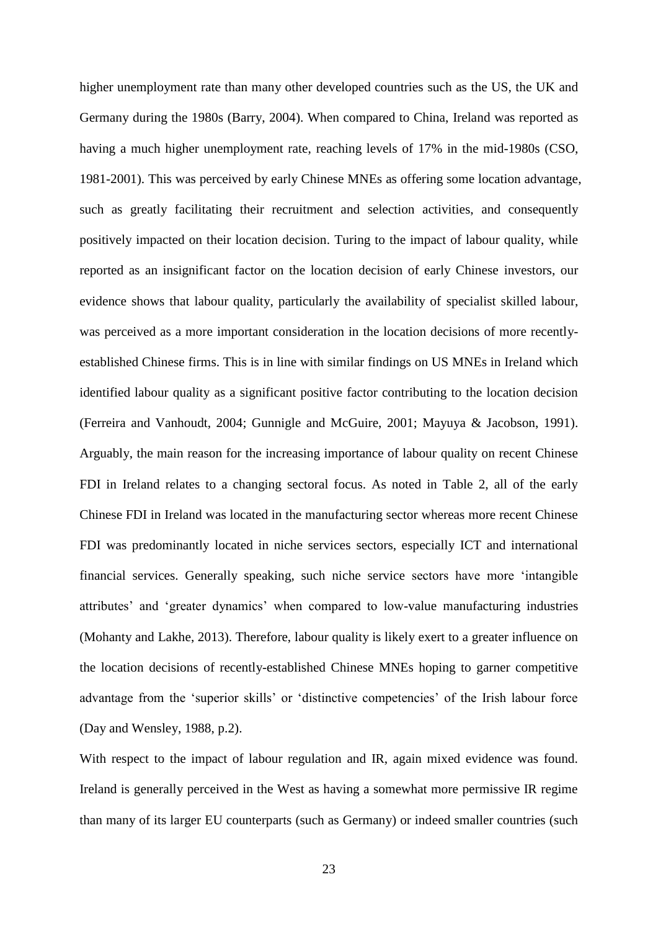higher unemployment rate than many other developed countries such as the US, the UK and Germany during the 1980s (Barry, 2004). When compared to China, Ireland was reported as having a much higher unemployment rate, reaching levels of 17% in the mid-1980s (CSO, 1981-2001). This was perceived by early Chinese MNEs as offering some location advantage, such as greatly facilitating their recruitment and selection activities, and consequently positively impacted on their location decision. Turing to the impact of labour quality, while reported as an insignificant factor on the location decision of early Chinese investors, our evidence shows that labour quality, particularly the availability of specialist skilled labour, was perceived as a more important consideration in the location decisions of more recentlyestablished Chinese firms. This is in line with similar findings on US MNEs in Ireland which identified labour quality as a significant positive factor contributing to the location decision (Ferreira and Vanhoudt, 2004; Gunnigle and McGuire, 2001; Mayuya & Jacobson, 1991). Arguably, the main reason for the increasing importance of labour quality on recent Chinese FDI in Ireland relates to a changing sectoral focus. As noted in Table 2, all of the early Chinese FDI in Ireland was located in the manufacturing sector whereas more recent Chinese FDI was predominantly located in niche services sectors, especially ICT and international financial services. Generally speaking, such niche service sectors have more 'intangible attributes' and 'greater dynamics' when compared to low-value manufacturing industries (Mohanty and Lakhe, 2013). Therefore, labour quality is likely exert to a greater influence on the location decisions of recently-established Chinese MNEs hoping to garner competitive advantage from the 'superior skills' or 'distinctive competencies' of the Irish labour force (Day and Wensley, 1988, p.2).

With respect to the impact of labour regulation and IR, again mixed evidence was found. Ireland is generally perceived in the West as having a somewhat more permissive IR regime than many of its larger EU counterparts (such as Germany) or indeed smaller countries (such

23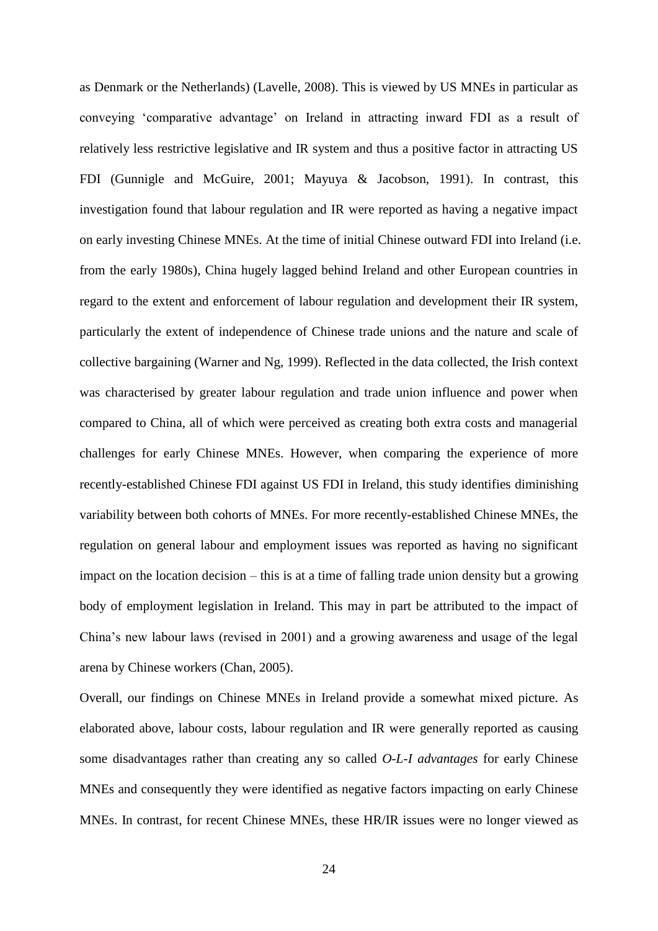as Denmark or the Netherlands) (Lavelle, 2008). This is viewed by US MNEs in particular as conveying 'comparative advantage' on Ireland in attracting inward FDI as a result of relatively less restrictive legislative and IR system and thus a positive factor in attracting US FDI (Gunnigle and McGuire, 2001; Mayuya & Jacobson, 1991). In contrast, this investigation found that labour regulation and IR were reported as having a negative impact on early investing Chinese MNEs. At the time of initial Chinese outward FDI into Ireland (i.e. from the early 1980s), China hugely lagged behind Ireland and other European countries in regard to the extent and enforcement of labour regulation and development their IR system, particularly the extent of independence of Chinese trade unions and the nature and scale of collective bargaining (Warner and Ng, 1999). Reflected in the data collected, the Irish context was characterised by greater labour regulation and trade union influence and power when compared to China, all of which were perceived as creating both extra costs and managerial challenges for early Chinese MNEs. However, when comparing the experience of more recently-established Chinese FDI against US FDI in Ireland, this study identifies diminishing variability between both cohorts of MNEs. For more recently-established Chinese MNEs, the regulation on general labour and employment issues was reported as having no significant impact on the location decision – this is at a time of falling trade union density but a growing body of employment legislation in Ireland. This may in part be attributed to the impact of China's new labour laws (revised in 2001) and a growing awareness and usage of the legal arena by Chinese workers (Chan, 2005).

Overall, our findings on Chinese MNEs in Ireland provide a somewhat mixed picture. As elaborated above, labour costs, labour regulation and IR were generally reported as causing some disadvantages rather than creating any so called *O-L-I advantages* for early Chinese MNEs and consequently they were identified as negative factors impacting on early Chinese MNEs. In contrast, for recent Chinese MNEs, these HR/IR issues were no longer viewed as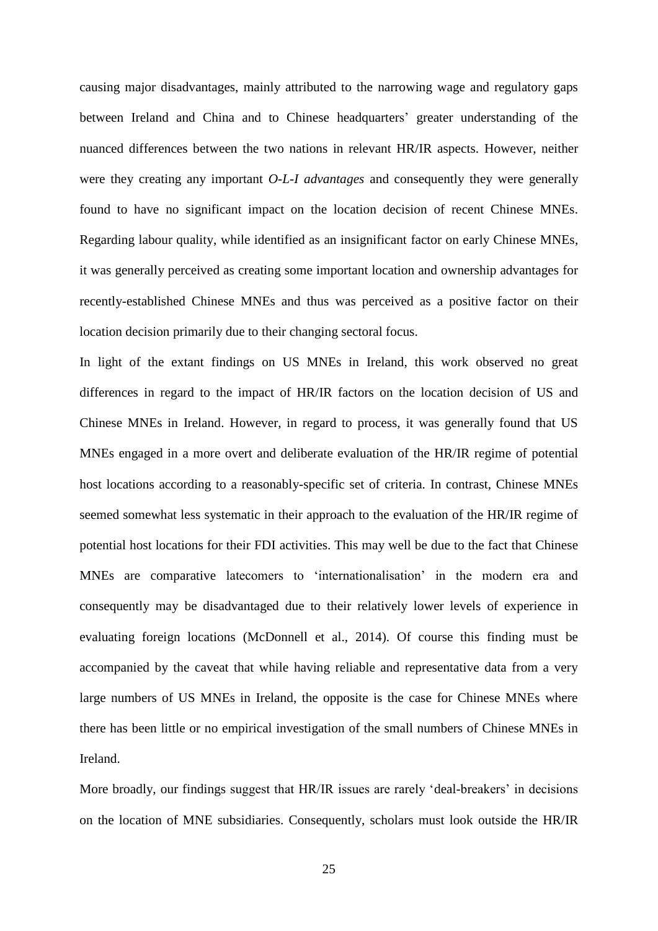causing major disadvantages, mainly attributed to the narrowing wage and regulatory gaps between Ireland and China and to Chinese headquarters' greater understanding of the nuanced differences between the two nations in relevant HR/IR aspects. However, neither were they creating any important *O-L-I advantages* and consequently they were generally found to have no significant impact on the location decision of recent Chinese MNEs. Regarding labour quality, while identified as an insignificant factor on early Chinese MNEs, it was generally perceived as creating some important location and ownership advantages for recently-established Chinese MNEs and thus was perceived as a positive factor on their location decision primarily due to their changing sectoral focus.

In light of the extant findings on US MNEs in Ireland, this work observed no great differences in regard to the impact of HR/IR factors on the location decision of US and Chinese MNEs in Ireland. However, in regard to process, it was generally found that US MNEs engaged in a more overt and deliberate evaluation of the HR/IR regime of potential host locations according to a reasonably-specific set of criteria. In contrast, Chinese MNEs seemed somewhat less systematic in their approach to the evaluation of the HR/IR regime of potential host locations for their FDI activities. This may well be due to the fact that Chinese MNEs are comparative latecomers to 'internationalisation' in the modern era and consequently may be disadvantaged due to their relatively lower levels of experience in evaluating foreign locations (McDonnell et al., 2014). Of course this finding must be accompanied by the caveat that while having reliable and representative data from a very large numbers of US MNEs in Ireland, the opposite is the case for Chinese MNEs where there has been little or no empirical investigation of the small numbers of Chinese MNEs in Ireland.

More broadly, our findings suggest that HR/IR issues are rarely 'deal-breakers' in decisions on the location of MNE subsidiaries. Consequently, scholars must look outside the HR/IR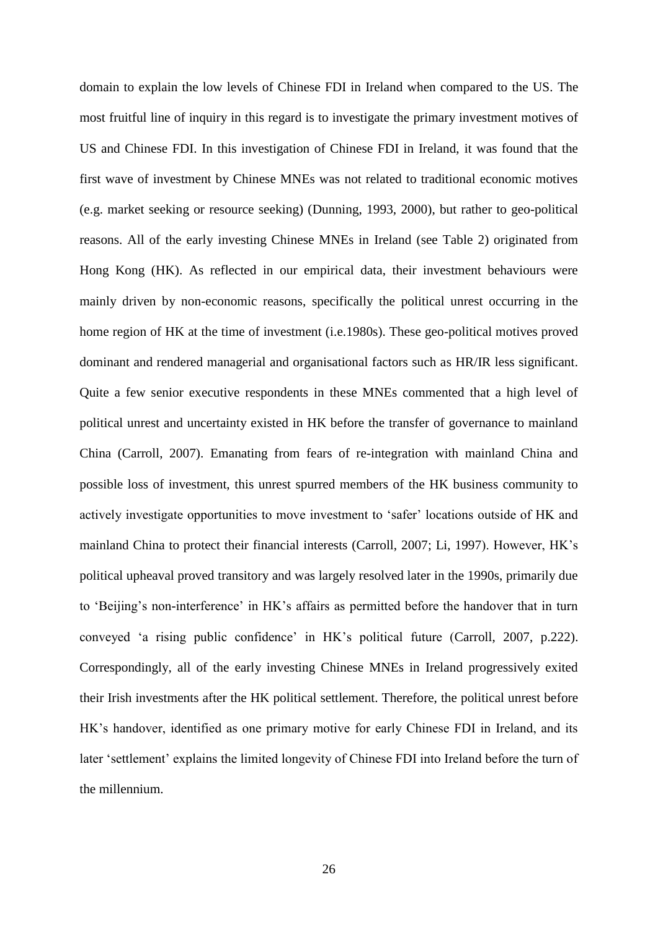domain to explain the low levels of Chinese FDI in Ireland when compared to the US. The most fruitful line of inquiry in this regard is to investigate the primary investment motives of US and Chinese FDI. In this investigation of Chinese FDI in Ireland, it was found that the first wave of investment by Chinese MNEs was not related to traditional economic motives (e.g. market seeking or resource seeking) (Dunning, 1993, 2000), but rather to geo-political reasons. All of the early investing Chinese MNEs in Ireland (see Table 2) originated from Hong Kong (HK). As reflected in our empirical data, their investment behaviours were mainly driven by non-economic reasons, specifically the political unrest occurring in the home region of HK at the time of investment (i.e.1980s). These geo-political motives proved dominant and rendered managerial and organisational factors such as HR/IR less significant. Quite a few senior executive respondents in these MNEs commented that a high level of political unrest and uncertainty existed in HK before the transfer of governance to mainland China (Carroll, 2007). Emanating from fears of re-integration with mainland China and possible loss of investment, this unrest spurred members of the HK business community to actively investigate opportunities to move investment to 'safer' locations outside of HK and mainland China to protect their financial interests (Carroll, 2007; Li, 1997). However, HK's political upheaval proved transitory and was largely resolved later in the 1990s, primarily due to 'Beijing's non-interference' in HK's affairs as permitted before the handover that in turn conveyed 'a rising public confidence' in HK's political future (Carroll, 2007, p.222). Correspondingly, all of the early investing Chinese MNEs in Ireland progressively exited their Irish investments after the HK political settlement. Therefore, the political unrest before HK's handover, identified as one primary motive for early Chinese FDI in Ireland, and its later 'settlement' explains the limited longevity of Chinese FDI into Ireland before the turn of the millennium.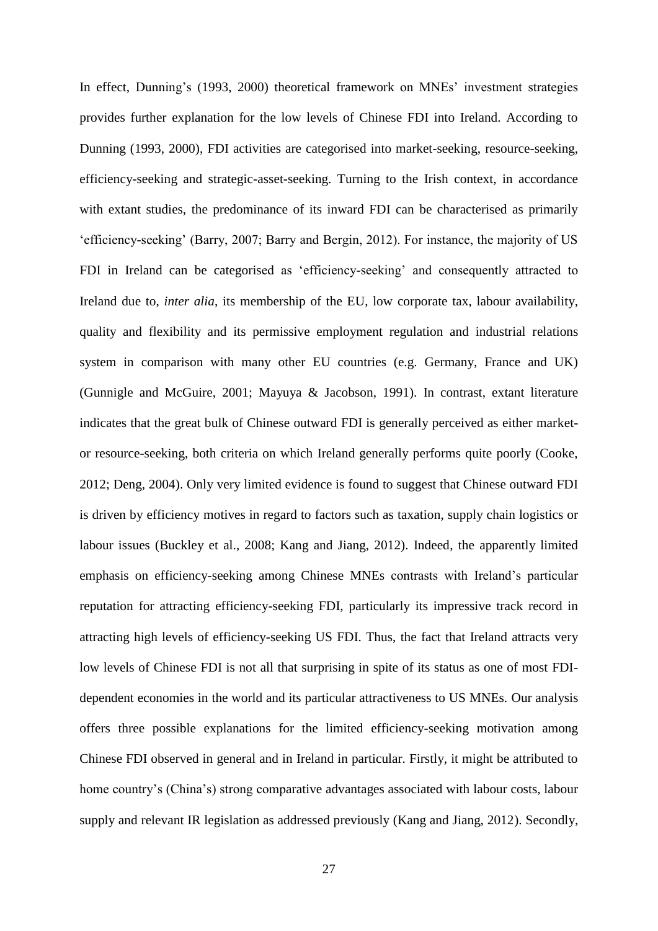In effect, Dunning's (1993, 2000) theoretical framework on MNEs' investment strategies provides further explanation for the low levels of Chinese FDI into Ireland. According to Dunning (1993, 2000), FDI activities are categorised into market-seeking, resource-seeking, efficiency-seeking and strategic-asset-seeking. Turning to the Irish context, in accordance with extant studies, the predominance of its inward FDI can be characterised as primarily 'efficiency-seeking' (Barry, 2007; Barry and Bergin, 2012). For instance, the majority of US FDI in Ireland can be categorised as 'efficiency-seeking' and consequently attracted to Ireland due to, *inter alia*, its membership of the EU, low corporate tax, labour availability, quality and flexibility and its permissive employment regulation and industrial relations system in comparison with many other EU countries (e.g. Germany, France and UK) (Gunnigle and McGuire, 2001; Mayuya & Jacobson, 1991). In contrast, extant literature indicates that the great bulk of Chinese outward FDI is generally perceived as either marketor resource-seeking, both criteria on which Ireland generally performs quite poorly (Cooke, 2012; Deng, 2004). Only very limited evidence is found to suggest that Chinese outward FDI is driven by efficiency motives in regard to factors such as taxation, supply chain logistics or labour issues (Buckley et al., 2008; Kang and Jiang, 2012). Indeed, the apparently limited emphasis on efficiency-seeking among Chinese MNEs contrasts with Ireland's particular reputation for attracting efficiency-seeking FDI, particularly its impressive track record in attracting high levels of efficiency-seeking US FDI. Thus, the fact that Ireland attracts very low levels of Chinese FDI is not all that surprising in spite of its status as one of most FDIdependent economies in the world and its particular attractiveness to US MNEs. Our analysis offers three possible explanations for the limited efficiency-seeking motivation among Chinese FDI observed in general and in Ireland in particular. Firstly, it might be attributed to home country's (China's) strong comparative advantages associated with labour costs, labour supply and relevant IR legislation as addressed previously (Kang and Jiang, 2012). Secondly,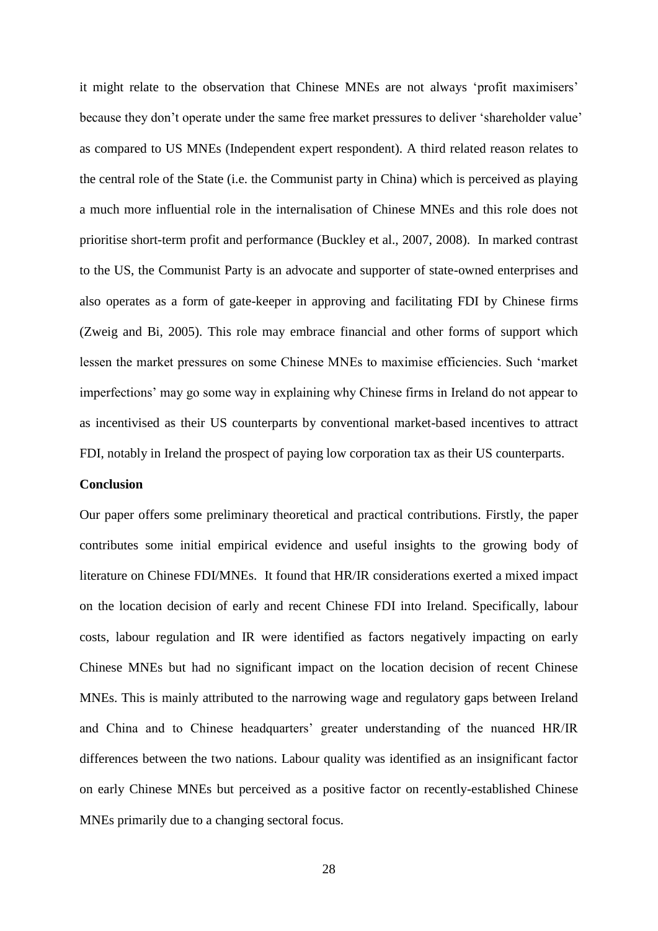it might relate to the observation that Chinese MNEs are not always 'profit maximisers' because they don't operate under the same free market pressures to deliver 'shareholder value' as compared to US MNEs (Independent expert respondent). A third related reason relates to the central role of the State (i.e. the Communist party in China) which is perceived as playing a much more influential role in the internalisation of Chinese MNEs and this role does not prioritise short-term profit and performance (Buckley et al., 2007, 2008). In marked contrast to the US, the Communist Party is an advocate and supporter of state-owned enterprises and also operates as a form of gate-keeper in approving and facilitating FDI by Chinese firms (Zweig and Bi, 2005). This role may embrace financial and other forms of support which lessen the market pressures on some Chinese MNEs to maximise efficiencies. Such 'market imperfections' may go some way in explaining why Chinese firms in Ireland do not appear to as incentivised as their US counterparts by conventional market-based incentives to attract FDI, notably in Ireland the prospect of paying low corporation tax as their US counterparts.

#### **Conclusion**

Our paper offers some preliminary theoretical and practical contributions. Firstly, the paper contributes some initial empirical evidence and useful insights to the growing body of literature on Chinese FDI/MNEs. It found that HR/IR considerations exerted a mixed impact on the location decision of early and recent Chinese FDI into Ireland. Specifically, labour costs, labour regulation and IR were identified as factors negatively impacting on early Chinese MNEs but had no significant impact on the location decision of recent Chinese MNEs. This is mainly attributed to the narrowing wage and regulatory gaps between Ireland and China and to Chinese headquarters' greater understanding of the nuanced HR/IR differences between the two nations. Labour quality was identified as an insignificant factor on early Chinese MNEs but perceived as a positive factor on recently-established Chinese MNEs primarily due to a changing sectoral focus.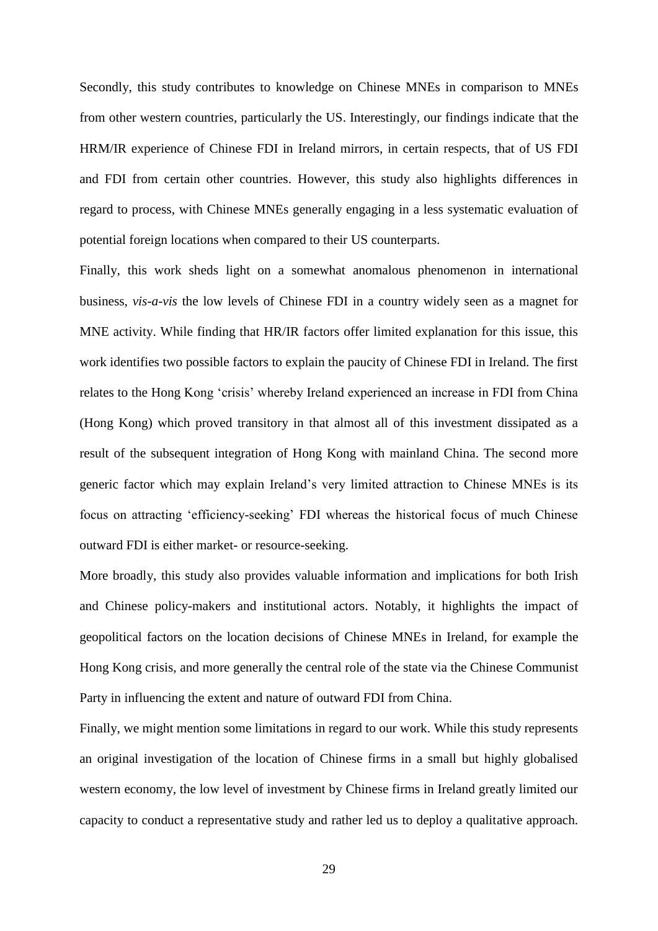Secondly, this study contributes to knowledge on Chinese MNEs in comparison to MNEs from other western countries, particularly the US. Interestingly, our findings indicate that the HRM/IR experience of Chinese FDI in Ireland mirrors, in certain respects, that of US FDI and FDI from certain other countries. However, this study also highlights differences in regard to process, with Chinese MNEs generally engaging in a less systematic evaluation of potential foreign locations when compared to their US counterparts.

Finally, this work sheds light on a somewhat anomalous phenomenon in international business, *vis-a-vis* the low levels of Chinese FDI in a country widely seen as a magnet for MNE activity. While finding that HR/IR factors offer limited explanation for this issue, this work identifies two possible factors to explain the paucity of Chinese FDI in Ireland. The first relates to the Hong Kong 'crisis' whereby Ireland experienced an increase in FDI from China (Hong Kong) which proved transitory in that almost all of this investment dissipated as a result of the subsequent integration of Hong Kong with mainland China. The second more generic factor which may explain Ireland's very limited attraction to Chinese MNEs is its focus on attracting 'efficiency-seeking' FDI whereas the historical focus of much Chinese outward FDI is either market- or resource-seeking.

More broadly, this study also provides valuable information and implications for both Irish and Chinese policy-makers and institutional actors. Notably, it highlights the impact of geopolitical factors on the location decisions of Chinese MNEs in Ireland, for example the Hong Kong crisis, and more generally the central role of the state via the Chinese Communist Party in influencing the extent and nature of outward FDI from China.

Finally, we might mention some limitations in regard to our work. While this study represents an original investigation of the location of Chinese firms in a small but highly globalised western economy, the low level of investment by Chinese firms in Ireland greatly limited our capacity to conduct a representative study and rather led us to deploy a qualitative approach.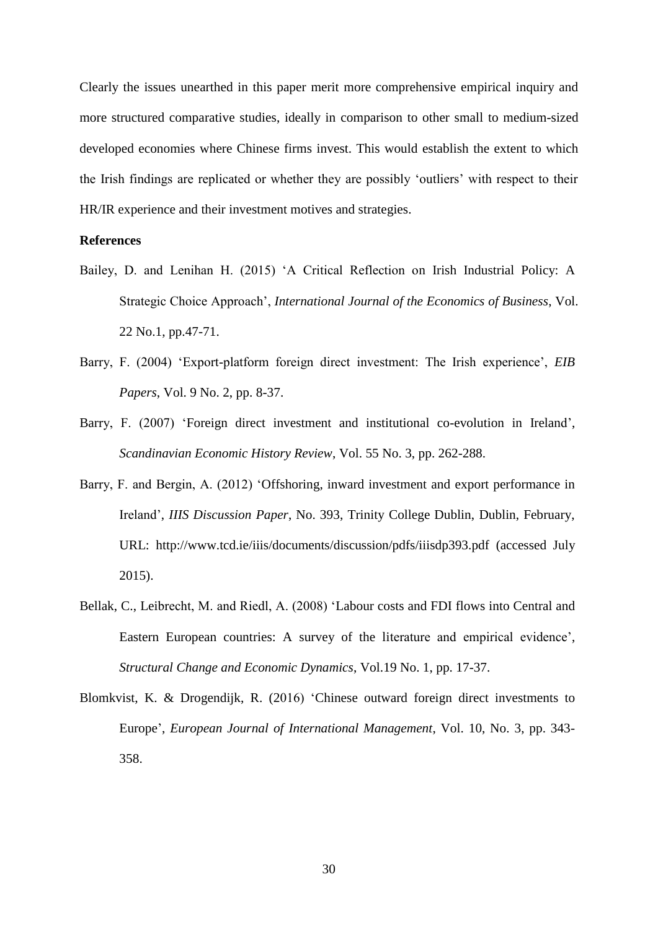Clearly the issues unearthed in this paper merit more comprehensive empirical inquiry and more structured comparative studies, ideally in comparison to other small to medium-sized developed economies where Chinese firms invest. This would establish the extent to which the Irish findings are replicated or whether they are possibly 'outliers' with respect to their HR/IR experience and their investment motives and strategies.

## **References**

- Bailey, D. and Lenihan H. (2015) 'A Critical Reflection on Irish Industrial Policy: A Strategic Choice Approach', *International Journal of the Economics of Business*, Vol. 22 No.1, pp.47-71.
- Barry, F. (2004) 'Export-platform foreign direct investment: The Irish experience', *EIB Papers*, Vol. 9 No. 2, pp. 8-37.
- Barry, F. (2007) 'Foreign direct investment and institutional co-evolution in Ireland', *Scandinavian Economic History Review*, Vol. 55 No. 3, pp. 262-288.
- Barry, F. and Bergin, A. (2012) 'Offshoring, inward investment and export performance in Ireland', *IIIS Discussion Paper*, No. 393, Trinity College Dublin, Dublin, February, URL: <http://www.tcd.ie/iiis/documents/discussion/pdfs/iiisdp393.pdf> (accessed July 2015).
- Bellak, C., Leibrecht, M. and Riedl, A. (2008) 'Labour costs and FDI flows into Central and Eastern European countries: A survey of the literature and empirical evidence', *Structural Change and Economic Dynamics*, Vol.19 No. 1, pp. 17-37.
- Blomkvist, K. & Drogendijk, R. (2016) 'Chinese outward foreign direct investments to Europe', *European Journal of International Management*, Vol. 10, No. 3, pp. 343- 358.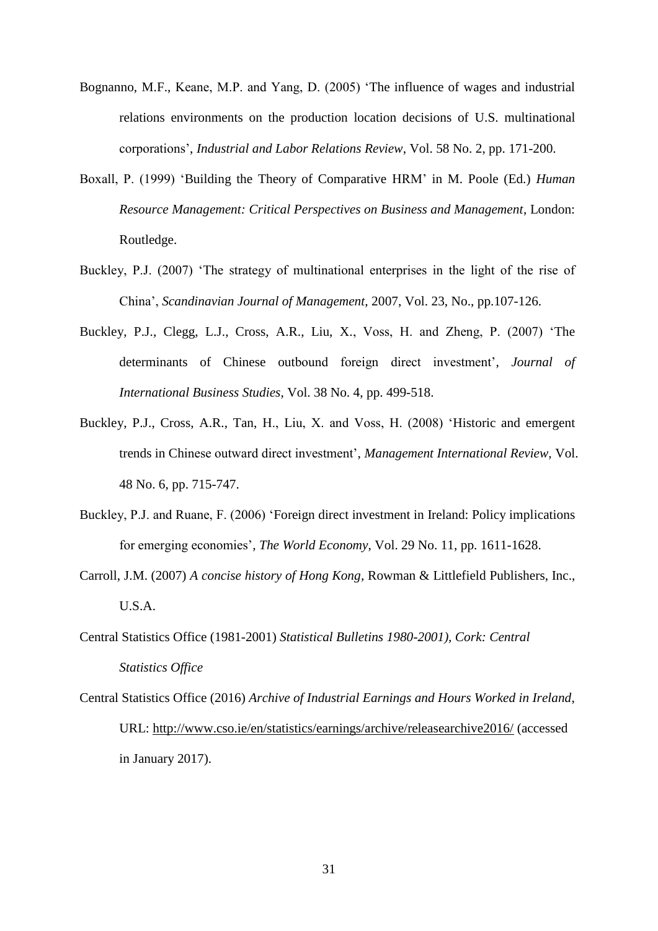- Bognanno, M.F., Keane, M.P. and Yang, D. (2005) 'The influence of wages and industrial relations environments on the production location decisions of U.S. multinational corporations', *Industrial and Labor Relations Review*, Vol. 58 No. 2, pp. 171-200.
- Boxall, P. (1999) 'Building the Theory of Comparative HRM' in M. Poole (Ed.) *Human Resource Management: Critical Perspectives on Business and Management*, London: Routledge.
- Buckley, P.J. (2007) 'The strategy of multinational enterprises in the light of the rise of China', *[Scandinavian Journal of Management](http://econpapers.repec.org/article/eeescaman/)*, 2007, Vol. 23, No., pp.107-126.
- Buckley, P.J., Clegg, L.J., Cross, A.R., Liu, X., Voss, H. and Zheng, P. (2007) 'The determinants of Chinese outbound foreign direct investment', *Journal of International Business Studies*, Vol. 38 No. 4, pp. 499-518.
- Buckley, P.J., Cross, A.R., Tan, H., Liu, X. and Voss, H. (2008) 'Historic and emergent trends in Chinese outward direct investment', *Management International Review,* Vol. 48 No. 6, pp. 715-747.
- Buckley, P.J. and Ruane, F. (2006) 'Foreign direct investment in Ireland: Policy implications for emerging economies', *The World Economy*, Vol. 29 No. 11, pp. 1611-1628.
- Carroll, J.M. (2007) *[A concise history of Hong Kong,](https://books.google.co.uk/books?id=fQofAAAAQBAJ&lpg=PA195&ots=uNIpAfQ-bW&dq=Governor%20Wilson%20met%20PRC%20Premier%20Li%20Peng%20in%20Beijing&pg=PA195#v=onepage&q=Governor%20Wilson%20met%20PRC%20Premier%20Li%20Peng%20in%20Beijing&f=true)* Rowman & Littlefield Publishers, Inc., U.S.A.
- Central Statistics Office (1981-2001) *Statistical Bulletins 1980-2001), Cork: Central Statistics Office*
- Central Statistics Office (2016) *Archive of Industrial Earnings and Hours Worked in Ireland*, URL: <http://www.cso.ie/en/statistics/earnings/archive/releasearchive2016/> (accessed in January 2017).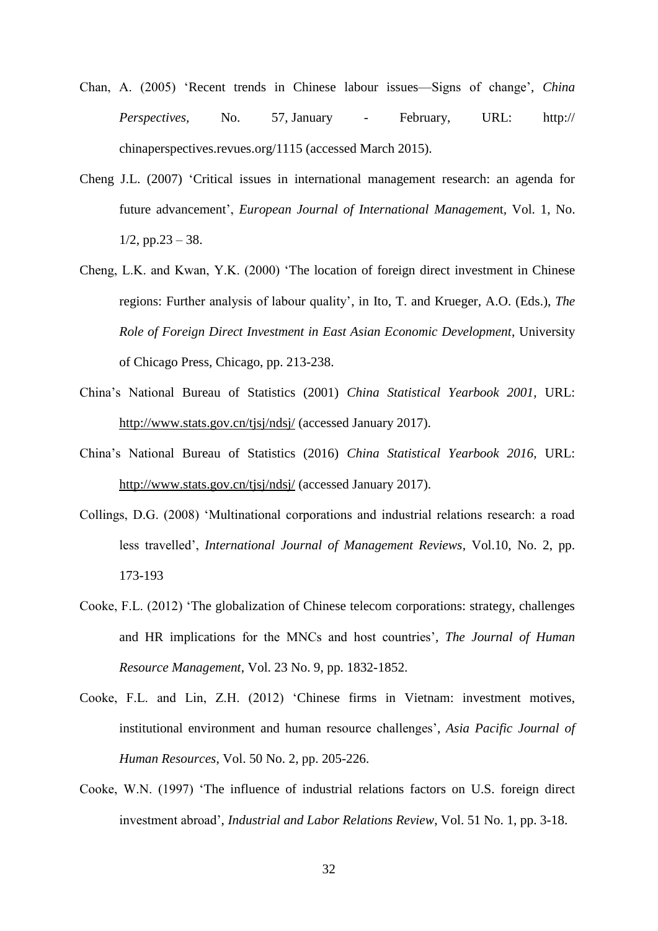- Chan, A. (2005) 'Recent trends in Chinese labour issues—Signs of change', *China Perspectives,* No. 57, January - February, URL: http:// chinaperspectives.revues.org/1115 (accessed March 2015).
- Cheng J.L. (2007) ['Critical issues in international management research: an agenda for](http://www.inderscience.com/info/inarticle.php?artid=12915)  [future advancement'](http://www.inderscience.com/info/inarticle.php?artid=12915), *[European Journal of International](http://www.inderscience.com/jhome.php?jcode=ejim) Managemen*t*,* [Vol. 1, No.](http://www.inderscience.com/info/inarticletoc.php?jcode=ejim&year=2007&vol=1&issue=1/2)   $1/2$ , pp.23 – 38.
- Cheng, L.K. and Kwan, Y.K. (2000) 'The location of foreign direct investment in Chinese regions: Further analysis of labour quality', in Ito, T. and Krueger, A.O. (Eds.), *The Role of Foreign Direct Investment in East Asian Economic Development*, University of Chicago Press, Chicago, pp. 213-238.
- China's National Bureau of Statistics (2001) *China Statistical Yearbook 2001*, URL: <http://www.stats.gov.cn/tjsj/ndsj/> (accessed January 2017).
- China's National Bureau of Statistics (2016) *China Statistical Yearbook 2016*, URL: <http://www.stats.gov.cn/tjsj/ndsj/> (accessed January 2017).
- Collings, D.G. (2008) 'Multinational corporations and industrial relations research: a road less travelled', *International Journal of Management Reviews*, Vol.10, No. 2, pp. 173-193
- Cooke, F.L. (2012) 'The globalization of Chinese telecom corporations: strategy, challenges and HR implications for the MNCs and host countries', *The Journal of Human Resource Management*, Vol. 23 No. 9, pp. 1832-1852.
- Cooke, F.L. and Lin, Z.H. (2012) 'Chinese firms in Vietnam: investment motives, institutional environment and human resource challenges', *Asia Pacific Journal of Human Resources*, Vol. 50 No. 2, pp. 205-226.
- Cooke, W.N. (1997) 'The influence of industrial relations factors on U.S. foreign direct investment abroad', *Industrial and Labor Relations Review*, Vol. 51 No. 1, pp. 3-18.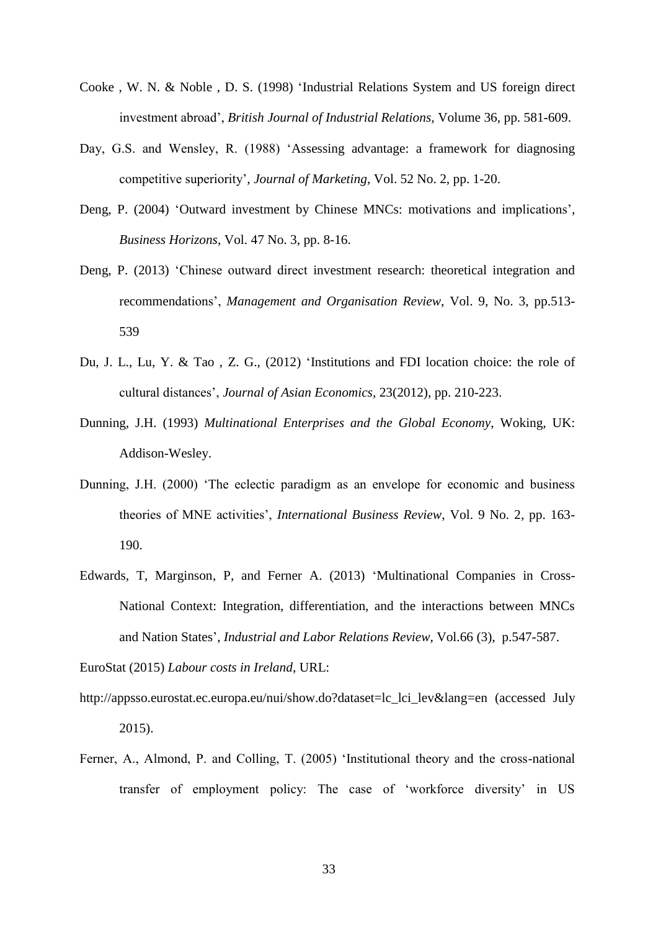- Cooke , W. N. & Noble , D. S. (1998) 'Industrial Relations System and US foreign direct investment abroad', *British Journal of Industrial Relations,* Volume 36, pp. 581-609.
- Day, G.S. and Wensley, R. (1988) 'Assessing advantage: a framework for diagnosing competitive superiority', *Journal of Marketing*, Vol. 52 No. 2, pp. 1-20.
- Deng, P. (2004) 'Outward investment by Chinese MNCs: motivations and implications', *Business Horizons*, Vol. 47 No. 3, pp. 8-16.
- Deng, P. (2013) 'Chinese outward direct investment research: theoretical integration and recommendations', *Management and Organisation Review*, Vol. 9, No. 3, pp.513- 539
- Du, J. L., Lu, Y. & Tao , Z. G., (2012) 'Institutions and FDI location choice: the role of cultural distances', *Journal of Asian Economics,* 23(2012), pp. 210-223.
- Dunning, J.H. (1993) *Multinational Enterprises and the Global Economy*, Woking, UK: Addison-Wesley.
- Dunning, J.H. (2000) 'The eclectic paradigm as an envelope for economic and business theories of MNE activities', *International Business Review*, Vol. 9 No. 2, pp. 163- 190.
- Edwards, T, Marginson, P, and Ferner A. (2013) 'Multinational Companies in Cross-National Context: Integration, differentiation, and the interactions between MNCs and Nation States', *Industrial and Labor Relations Review*, Vol.66 (3), p.547-587.

EuroStat (2015) *Labour costs in Ireland*, URL:

- [http://appsso.eurostat.ec.europa.eu/nui/show.do?dataset=lc\\_lci\\_lev&lang=en](http://appsso.eurostat.ec.europa.eu/nui/show.do?dataset=lc_lci_lev&lang=en) (accessed July 2015).
- Ferner, A., Almond, P. and Colling, T. (2005) 'Institutional theory and the cross-national transfer of employment policy: The case of 'workforce diversity' in US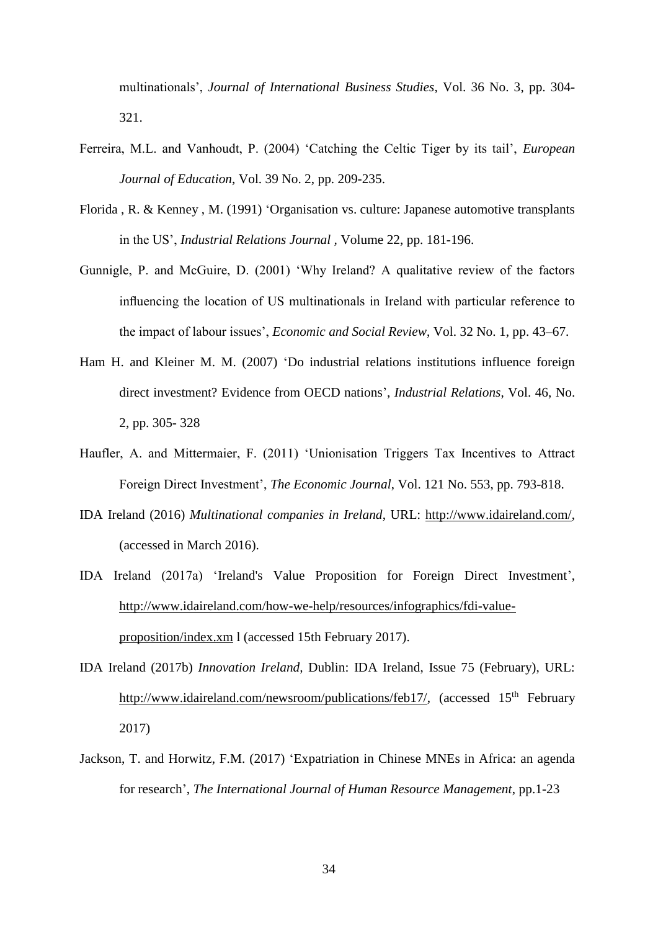multinationals', *Journal of International Business Studies*, Vol. 36 No. 3, pp. 304- 321.

- Ferreira, M.L. and Vanhoudt, P. (2004) 'Catching the Celtic Tiger by its tail', *European Journal of Education*, Vol. 39 No. 2, pp. 209-235.
- Florida , R. & Kenney , M. (1991) 'Organisation vs. culture: Japanese automotive transplants in the US', *Industrial Relations Journal ,* Volume 22, pp. 181-196.
- Gunnigle, P. and McGuire, D. (2001) 'Why Ireland? A qualitative review of the factors influencing the location of US multinationals in Ireland with particular reference to the impact of labour issues', *Economic and Social Review*, Vol. 32 No. 1, pp. 43–67.
- Ham H. and Kleiner M. M. (2007) 'Do industrial relations institutions influence foreign direct investment? Evidence from OECD nations', *Industrial Relations*, Vol. 46, No. 2, pp. 305- 328
- Haufler, A. and Mittermaier, F. (2011) 'Unionisation Triggers Tax Incentives to Attract Foreign Direct Investment', *The Economic Journal*, Vol. 121 No. 553, pp. 793-818.
- IDA Ireland (2016) *Multinational companies in Ireland*, URL: [http://www.idaireland.com/,](http://www.idaireland.com/) (accessed in March 2016).
- IDA Ireland (2017a) 'Ireland's Value Proposition for Foreign Direct Investment', [http://www.idaireland.com/how-we-help/resources/infographics/fdi-value](http://www.idaireland.com/how-we-help/resources/infographics/fdi-value-proposition/index.xm)[proposition/index.xm](http://www.idaireland.com/how-we-help/resources/infographics/fdi-value-proposition/index.xm) l (accessed 15th February 2017).
- IDA Ireland (2017b) *Innovation Ireland,* Dublin: IDA Ireland, Issue 75 (February), URL: [http://www.idaireland.com/newsroom/publications/feb17/,](http://www.idaireland.com/newsroom/publications/feb17/) (accessed 15<sup>th</sup> February 2017)
- Jackson, T. and Horwitz, F.M. (2017) 'Expatriation in Chinese MNEs in Africa: an agenda for research', *The International Journal of Human Resource Management*, pp.1-23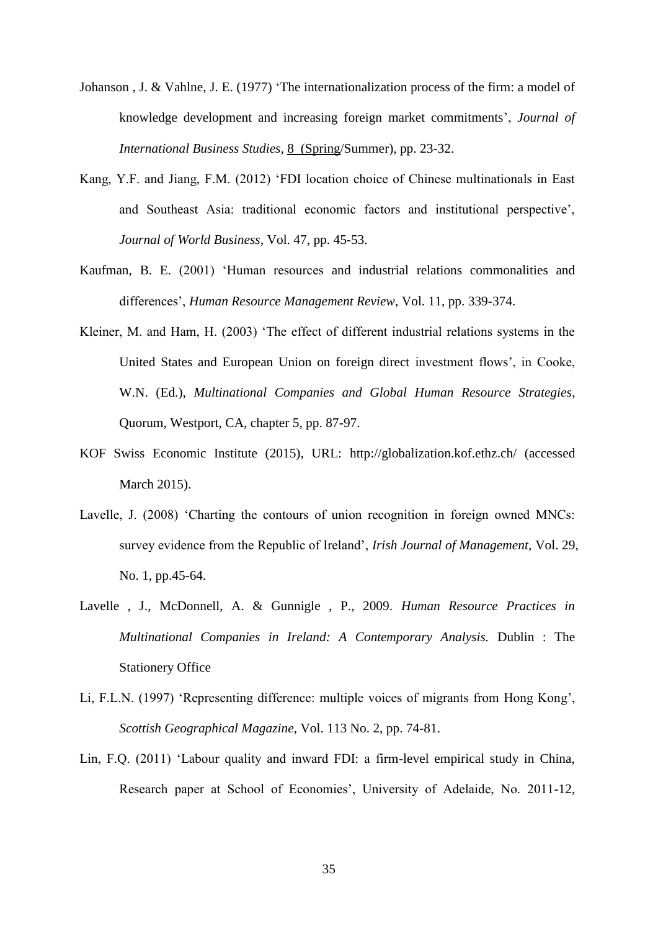- Johanson , J. & Vahlne, J. E. (1977) 'The internationalization process of the firm: a model of knowledge development and increasing foreign market commitments', *Journal of International Business Studies,* 8 (Spring/Summer), pp. 23-32.
- Kang, Y.F. and Jiang, F.M. (2012) 'FDI location choice of Chinese multinationals in East and Southeast Asia: traditional economic factors and institutional perspective', *Journal of World Business*, Vol. 47, pp. 45-53.
- Kaufman, B. E. (2001) 'Human resources and industrial relations commonalities and differences', *Human Resource Management Review*, Vol. 11, pp. 339-374.
- Kleiner, M. and Ham, H. (2003) 'The effect of different industrial relations systems in the United States and European Union on foreign direct investment flows', in Cooke, W.N. (Ed.), *Multinational Companies and Global Human Resource Strategies*, Quorum, Westport, CA, chapter 5, pp. 87-97.
- KOF Swiss Economic Institute (2015), URL: <http://globalization.kof.ethz.ch/> (accessed March 2015).
- Lavelle, J. (2008) 'Charting the contours of union recognition in foreign owned MNCs: survey evidence from the Republic of Ireland', *Irish Journal of Management,* Vol. 29, No. 1, pp.45-64.
- Lavelle , J., McDonnell, A. & Gunnigle , P., 2009. *Human Resource Practices in Multinational Companies in Ireland: A Contemporary Analysis.* Dublin : The Stationery Office
- Li, F.L.N. (1997) 'Representing difference: multiple voices of migrants from Hong Kong', *Scottish Geographical Magazine,* Vol. 113 No. 2, pp. 74-81.
- Lin, F.Q. (2011) 'Labour quality and inward FDI: a firm-level empirical study in China, Research paper at School of Economies', University of Adelaide, No. 2011-12,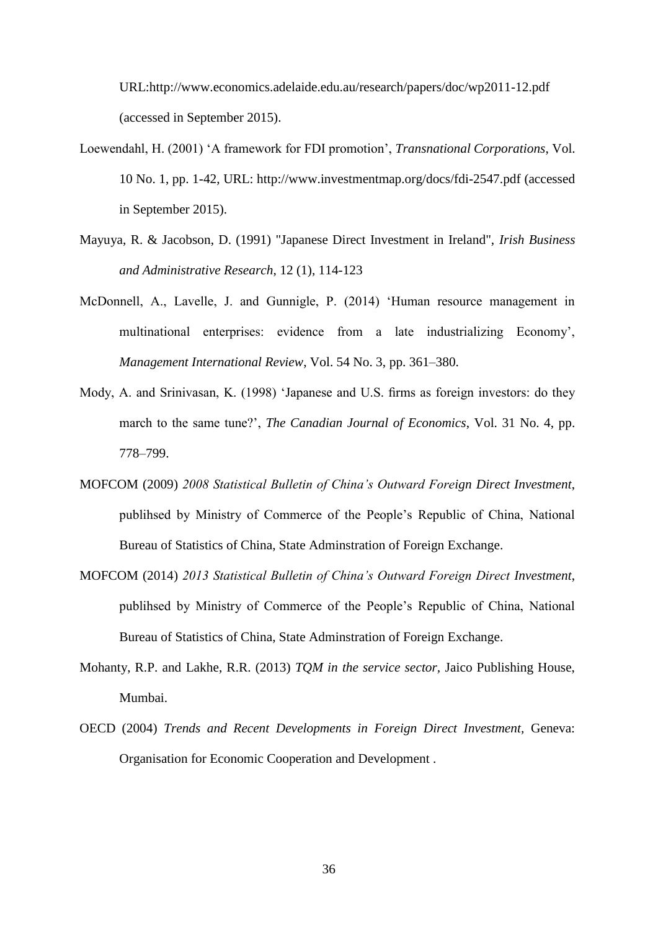URL[:http://www.economics.adelaide.edu.au/research/papers/doc/wp2011-12.pdf](http://www.economics.adelaide.edu.au/research/papers/doc/wp2011-12.pdf)  (accessed in September 2015).

- Loewendahl, H. (2001) 'A framework for FDI promotion', *Transnational Corporations*, Vol. 10 No. 1, pp. 1-42, URL:<http://www.investmentmap.org/docs/fdi-2547.pdf> (accessed in September 2015).
- Mayuya, R. & Jacobson, D. (1991) "Japanese Direct Investment in Ireland", *Irish Business and Administrative Research*, 12 (1), 114-123
- McDonnell, A., Lavelle, J. and Gunnigle, P. (2014) 'Human resource management in multinational enterprises: evidence from a late industrializing Economy', *Management International Review*, Vol. 54 No. 3, pp. 361–380.
- Mody, A. and Srinivasan, K. (1998) 'Japanese and U.S. firms as foreign investors: do they march to the same tune?', *The Canadian Journal of Economics*, Vol. 31 No. 4, pp. 778–799.
- MOFCOM (2009) *2008 Statistical Bulletin of China's Outward Foreign Direct Investment*, publihsed by Ministry of Commerce of the People's Republic of China, National Bureau of Statistics of China, State Adminstration of Foreign Exchange.
- MOFCOM (2014) *2013 Statistical Bulletin of China's Outward Foreign Direct Investment*, publihsed by Ministry of Commerce of the People's Republic of China, National Bureau of Statistics of China, State Adminstration of Foreign Exchange.
- Mohanty, R.P. and Lakhe, R.R. (2013) *TQM in the service sector,* Jaico Publishing House, Mumbai.
- OECD (2004) *Trends and Recent Developments in Foreign Direct Investment,* Geneva: Organisation for Economic Cooperation and Development .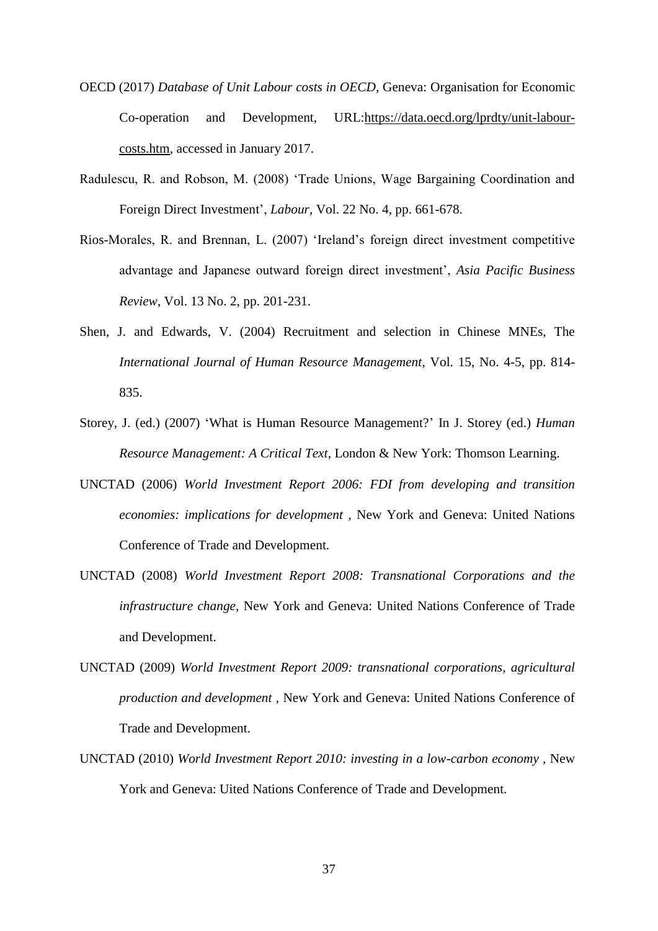- OECD (2017) *Database of Unit Labour costs in OECD*, Geneva: Organisation for Economic Co-operation and Development, URL[:https://data.oecd.org/lprdty/unit-labour](https://data.oecd.org/lprdty/unit-labour-costs.htm)[costs.htm,](https://data.oecd.org/lprdty/unit-labour-costs.htm) accessed in January 2017.
- Radulescu, R. and Robson, M. (2008) 'Trade Unions, Wage Bargaining Coordination and Foreign Direct Investment', *Labour*, Vol. 22 No. 4, pp. 661-678.
- Rios-Morales, R. and Brennan, L. (2007) 'Ireland's foreign direct investment competitive advantage and Japanese outward foreign direct investment', *Asia Pacific Business Review*, Vol. 13 No. 2, pp. 201-231.
- Shen, J. and Edwards, V. (2004) Recruitment and selection in Chinese MNEs, The *International Journal of Human Resource Management*, Vol. 15, No. 4-5, pp. 814- 835.
- Storey, J. (ed.) (2007) 'What is Human Resource Management?' In J. Storey (ed.) *Human Resource Management: A Critical Text*, London & New York: Thomson Learning.
- UNCTAD (2006) *World Investment Report 2006: FDI from developing and transition economies: implications for development ,* New York and Geneva: United Nations Conference of Trade and Development.
- UNCTAD (2008) *World Investment Report 2008: Transnational Corporations and the infrastructure change,* New York and Geneva: United Nations Conference of Trade and Development.
- UNCTAD (2009) *World Investment Report 2009: transnational corporations, agricultural production and development ,* New York and Geneva: United Nations Conference of Trade and Development.
- UNCTAD (2010) *World Investment Report 2010: investing in a low-carbon economy*, New York and Geneva: Uited Nations Conference of Trade and Development.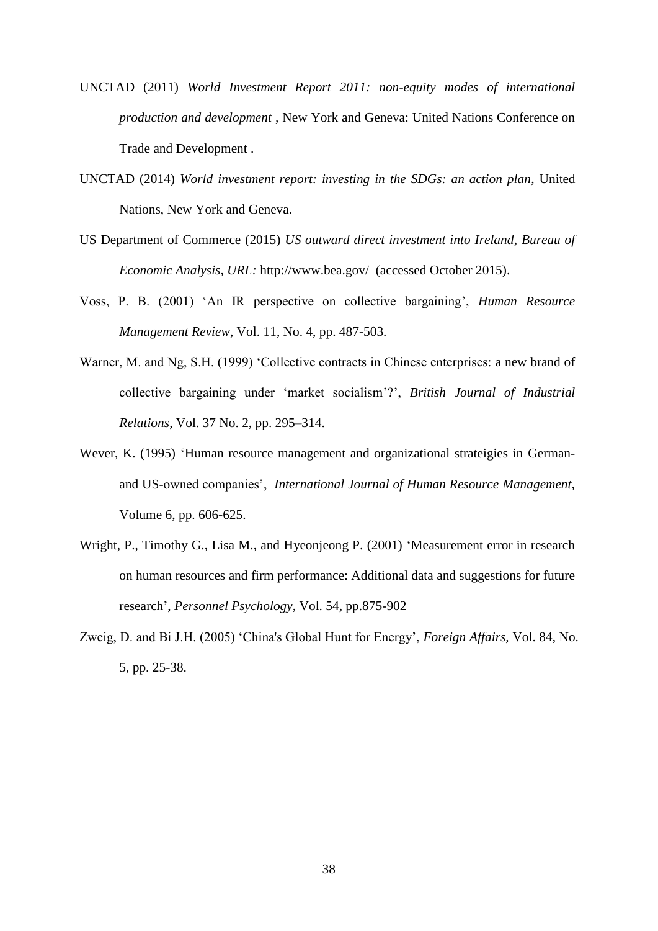- UNCTAD (2011) *World Investment Report 2011: non-equity modes of international production and development ,* New York and Geneva: United Nations Conference on Trade and Development .
- UNCTAD (2014) *World investment report: investing in the SDGs: an action plan*, United Nations, New York and Geneva.
- US Department of Commerce (2015) *US outward direct investment into Ireland*, *Bureau of Economic Analysis, URL:* <http://www.bea.gov/> (accessed October 2015).
- Voss, P. B. (2001) 'An IR perspective on collective bargaining', *Human Resource Management Review*, Vol. 11, No. 4, pp. 487-503.
- Warner, M. and Ng, S.H. (1999) 'Collective contracts in Chinese enterprises: a new brand of collective bargaining under 'market socialism'?', *British Journal of Industrial Relations*, Vol. 37 No. 2, pp. 295–314.
- Wever, K. (1995) 'Human resource management and organizational strateigies in Germanand US-owned companies', *International Journal of Human Resource Management,*  Volume 6, pp. 606-625.
- Wright, P., Timothy G., Lisa M., and Hyeonjeong P. (2001) 'Measurement error in research on human resources and firm performance: Additional data and suggestions for future research', *Personnel Psychology*, Vol. 54, pp.875-902
- Zweig, D. and Bi J.H. (2005) 'China's Global Hunt for Energy', *Foreign Affairs,* Vol. 84, No. 5, pp. 25-38.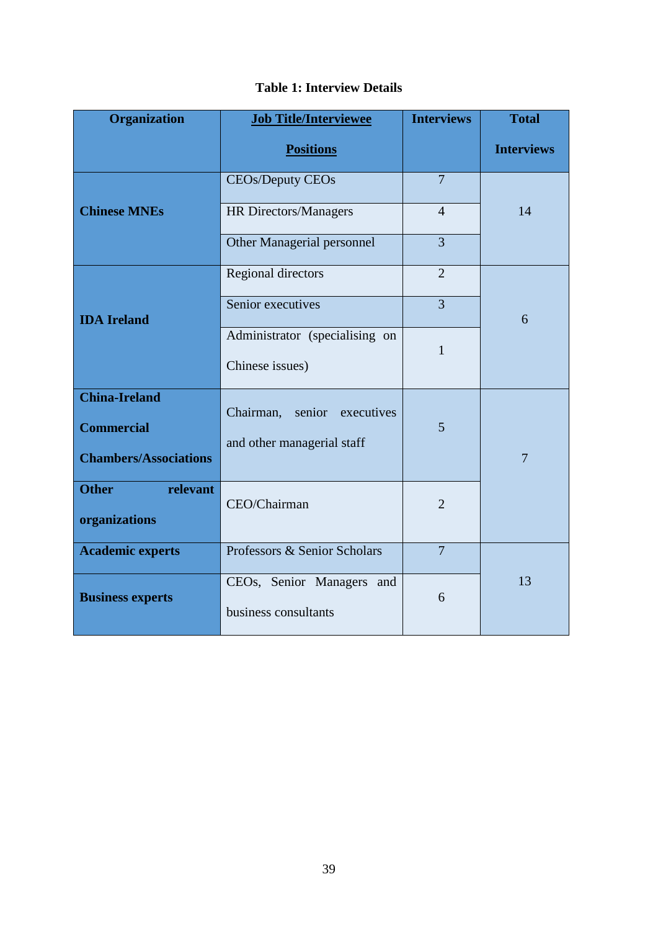| <b>Organization</b>          | <b>Job Title/Interviewee</b>   | <b>Interviews</b> | <b>Total</b>      |  |
|------------------------------|--------------------------------|-------------------|-------------------|--|
|                              | <b>Positions</b>               |                   | <b>Interviews</b> |  |
|                              | <b>CEOs/Deputy CEOs</b>        | $\overline{7}$    |                   |  |
| <b>Chinese MNEs</b>          | HR Directors/Managers          | 14                |                   |  |
|                              | Other Managerial personnel     | $\overline{3}$    |                   |  |
| <b>IDA</b> Ireland           | Regional directors             | $\overline{2}$    |                   |  |
|                              | Senior executives              | $\overline{3}$    |                   |  |
|                              | Administrator (specialising on | $\mathbf{1}$      |                   |  |
|                              | Chinese issues)                |                   |                   |  |
| <b>China-Ireland</b>         | Chairman, senior executives    |                   |                   |  |
| <b>Commercial</b>            | and other managerial staff     | 5                 | $\overline{7}$    |  |
| <b>Chambers/Associations</b> |                                |                   |                   |  |
| relevant<br><b>Other</b>     | CEO/Chairman                   | $\overline{2}$    |                   |  |
| organizations                |                                |                   |                   |  |
| <b>Academic experts</b>      | Professors & Senior Scholars   | $\overline{7}$    |                   |  |
| <b>Business experts</b>      | CEOs, Senior Managers<br>and   | 6                 | 13                |  |
|                              | business consultants           |                   |                   |  |

# **Table 1: Interview Details**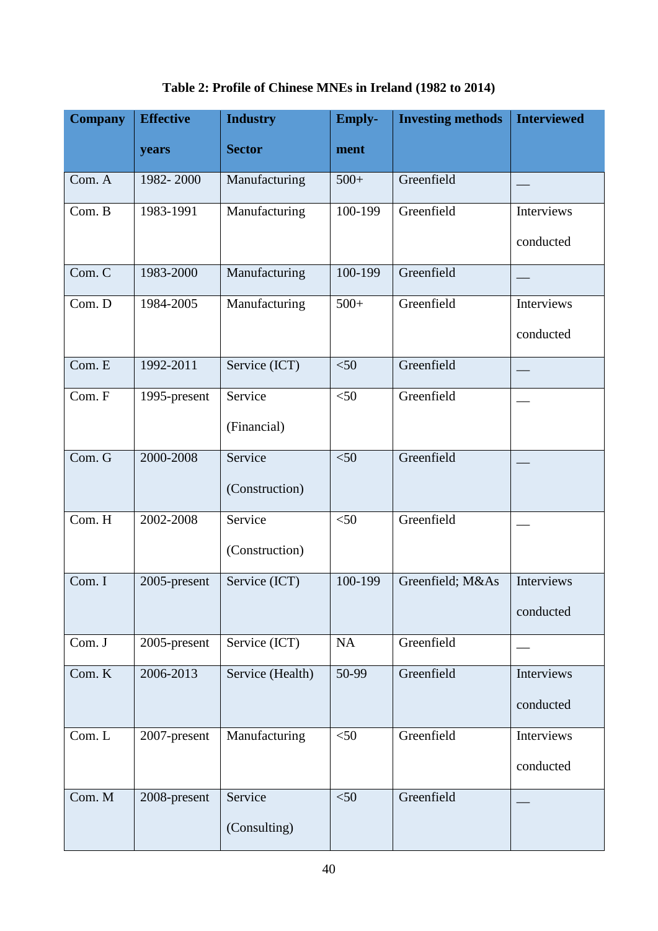| <b>Company</b> | <b>Effective</b> | <b>Industry</b>  | <b>Emply-</b><br><b>Investing methods</b> |                  | <b>Interviewed</b> |
|----------------|------------------|------------------|-------------------------------------------|------------------|--------------------|
|                | years            | <b>Sector</b>    | ment                                      |                  |                    |
| Com. A         | 1982-2000        | Manufacturing    | $500+$                                    | Greenfield       |                    |
| Com. B         | 1983-1991        | Manufacturing    | 100-199                                   | Greenfield       | Interviews         |
|                |                  |                  |                                           |                  | conducted          |
| Com. C         | 1983-2000        | Manufacturing    | 100-199                                   | Greenfield       |                    |
| Com. D         | 1984-2005        | Manufacturing    | $500+$                                    | Greenfield       | Interviews         |
|                |                  |                  |                                           |                  | conducted          |
| Com. E         | 1992-2011        | Service (ICT)    | < 50                                      | Greenfield       |                    |
| Com. F         | 1995-present     | Service          | $<$ 50                                    | Greenfield       |                    |
|                |                  | (Financial)      |                                           |                  |                    |
| Com. G         | 2000-2008        | Service          | < 50                                      | Greenfield       |                    |
|                |                  | (Construction)   |                                           |                  |                    |
| Com. H         | 2002-2008        | Service          | $<$ 50                                    | Greenfield       |                    |
|                |                  | (Construction)   |                                           |                  |                    |
| Com. I         | 2005-present     | Service (ICT)    | 100-199                                   | Greenfield; M&As | Interviews         |
|                |                  |                  |                                           |                  | conducted          |
| Com. J         | 2005-present     | Service (ICT)    | NA                                        | Greenfield       |                    |
| Com. K         | 2006-2013        | Service (Health) | 50-99                                     | Greenfield       | Interviews         |
|                |                  |                  |                                           |                  | conducted          |
| Com. L         | 2007-present     | Manufacturing    | $<$ 50                                    | Greenfield       | Interviews         |
|                |                  |                  |                                           |                  | conducted          |
| Com. M         | 2008-present     | Service          | $<$ 50                                    | Greenfield       |                    |
|                |                  | (Consulting)     |                                           |                  |                    |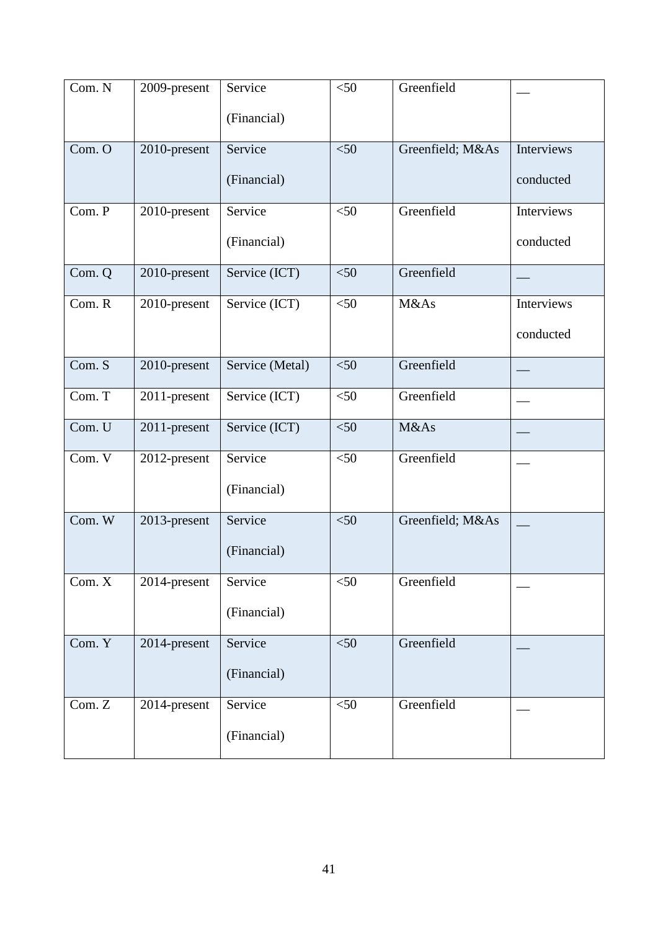| Com. N | 2009-present | Service         | Greenfield<br>$<$ 50     |                  |                   |
|--------|--------------|-----------------|--------------------------|------------------|-------------------|
|        |              | (Financial)     |                          |                  |                   |
| Com. O | 2010-present | Service         | Greenfield; M&As<br>< 50 |                  | Interviews        |
|        |              | (Financial)     |                          |                  | conducted         |
| Com. P | 2010-present | Service         | < 50                     | Greenfield       | Interviews        |
|        |              | (Financial)     |                          |                  | conducted         |
| Com. Q | 2010-present | Service (ICT)   | $<$ 50                   | Greenfield       |                   |
| Com. R | 2010-present | Service (ICT)   | $<$ 50                   | M&As             | <b>Interviews</b> |
|        |              |                 |                          |                  | conducted         |
| Com. S | 2010-present | Service (Metal) | $<$ 50                   | Greenfield       |                   |
| Com. T | 2011-present | Service (ICT)   | $<$ 50                   | Greenfield       |                   |
| Com. U | 2011-present | Service (ICT)   | $<$ 50                   | M&As             |                   |
| Com. V | 2012-present | Service         | $<$ 50                   | Greenfield       |                   |
|        |              | (Financial)     |                          |                  |                   |
| Com. W | 2013-present | Service         | $<$ 50                   | Greenfield; M&As |                   |
|        |              | (Financial)     |                          |                  |                   |
| Com. X | 2014-present | Service         | $<$ 50                   | Greenfield       |                   |
|        |              | (Financial)     |                          |                  |                   |
| Com. Y | 2014-present | Service         | $< 50$                   | Greenfield       |                   |
|        |              | (Financial)     |                          |                  |                   |
| Com. Z | 2014-present | Service         | $\overline{50}$          | Greenfield       |                   |
|        |              | (Financial)     |                          |                  |                   |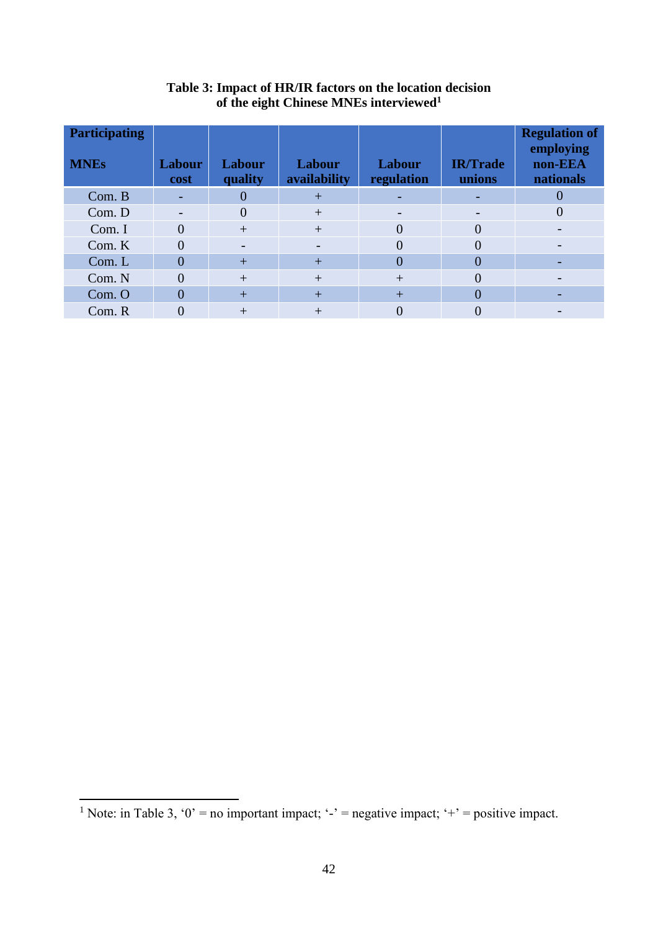| <b>Participating</b><br><b>MNEs</b> | <b>Labour</b><br>cost    | Labour<br>quality | Labour<br>availability   | Labour<br>regulation | <b>IR/Trade</b><br>unions | <b>Regulation of</b><br>employing<br>non-EEA<br>nationals |
|-------------------------------------|--------------------------|-------------------|--------------------------|----------------------|---------------------------|-----------------------------------------------------------|
| Com. B                              |                          |                   | $\overline{+}$           |                      |                           | $\mathcal{O}$                                             |
| Com. D                              | $\overline{\phantom{0}}$ |                   | $^{+}$                   |                      | $\overline{\phantom{0}}$  | $\Omega$                                                  |
| Com. I                              | 0                        | $^{+}$            | $^{+}$                   | $\Omega$             | 0                         |                                                           |
| Com. K                              | $\overline{0}$           |                   | $\overline{\phantom{0}}$ | $\Omega$             | 0                         |                                                           |
| Com. L                              | $\Omega$                 | $\ddot{}$         | $\ddot{}$                | $\overline{0}$       | 0                         |                                                           |
| Com. N                              | $\theta$                 | $\boldsymbol{+}$  | $^{+}$                   | $+$                  | 0                         |                                                           |
| Com. O                              | $\Omega$                 | $\ddot{}$         | $+$                      | $+$                  | 0                         |                                                           |
| Com. R                              |                          | $^+$              | $\boldsymbol{+}$         |                      |                           |                                                           |

## **Table 3: Impact of HR/IR factors on the location decision of the eight Chinese MNEs interviewed<sup>1</sup>**

1

<sup>&</sup>lt;sup>1</sup> Note: in Table 3, '0' = no important impact; '-' = negative impact; '+' = positive impact.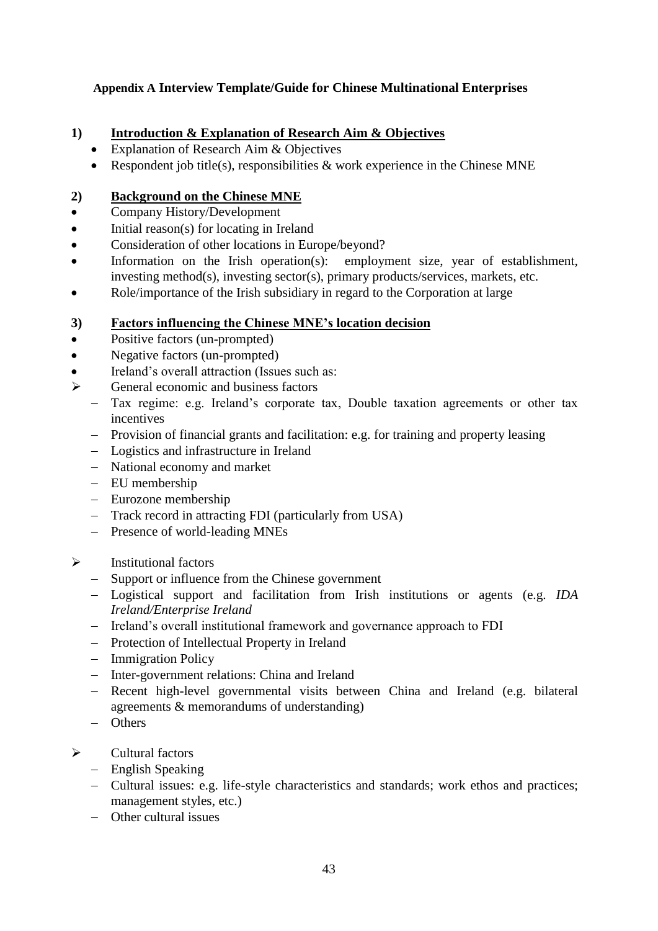# **Appendix A Interview Template/Guide for Chinese Multinational Enterprises**

# **1) Introduction & Explanation of Research Aim & Objectives**

- Explanation of Research Aim & Objectives
- Respondent job title(s), responsibilities  $\&$  work experience in the Chinese MNE

# **2) Background on the Chinese MNE**

- Company History/Development
- Initial reason(s) for locating in Ireland
- Consideration of other locations in Europe/beyond?
- Information on the Irish operation(s): employment size, year of establishment, investing method(s), investing sector(s), primary products/services, markets, etc.
- Role/importance of the Irish subsidiary in regard to the Corporation at large

# **3) Factors influencing the Chinese MNE's location decision**

- Positive factors (un-prompted)
- Negative factors (un-prompted)
- Ireland's overall attraction (Issues such as:
- $\triangleright$  General economic and business factors
	- Tax regime: e.g. Ireland's corporate tax, Double taxation agreements or other tax incentives
	- Provision of financial grants and facilitation: e.g. for training and property leasing
	- Logistics and infrastructure in Ireland
	- National economy and market
	- EU membership
	- Eurozone membership
	- Track record in attracting FDI (particularly from USA)
	- Presence of world-leading MNEs
- $\triangleright$  Institutional factors
	- Support or influence from the Chinese government
	- Logistical support and facilitation from Irish institutions or agents (e.g. *IDA Ireland/Enterprise Ireland*
	- Ireland's overall institutional framework and governance approach to FDI
	- Protection of Intellectual Property in Ireland
	- Immigration Policy
	- Inter-government relations: China and Ireland
	- Recent high-level governmental visits between China and Ireland (e.g. bilateral agreements & memorandums of understanding)
	- Others
- $\triangleright$  Cultural factors
	- English Speaking
	- Cultural issues: e.g. life-style characteristics and standards; work ethos and practices; management styles, etc.)
	- Other cultural issues